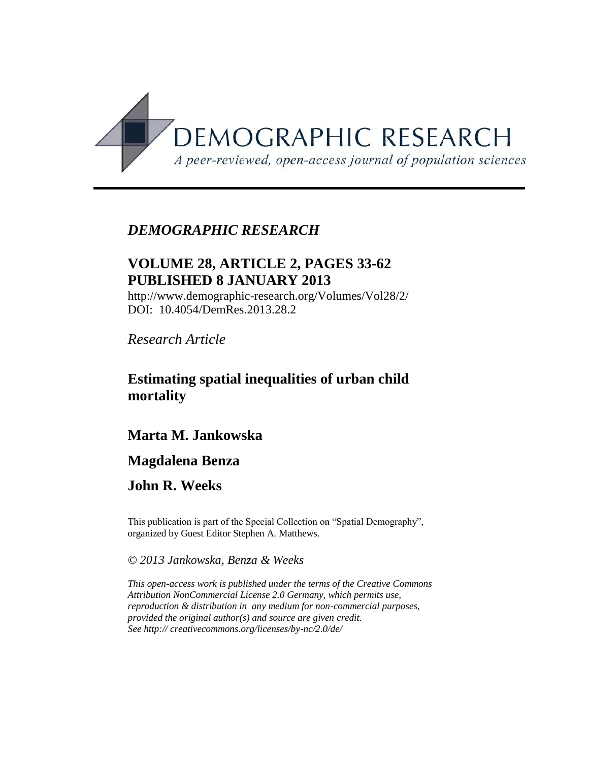

## *DEMOGRAPHIC RESEARCH*

# **VOLUME 28, ARTICLE 2, PAGES 33-62 PUBLISHED 8 JANUARY 2013**

http://www.demographic-research.org/Volumes/Vol28/2/ DOI: 10.4054/DemRes.2013.28.2

*Research Article* 

## **Estimating spatial inequalities of urban child mortality**

## **Marta M. Jankowska**

## **Magdalena Benza**

## **John R. Weeks**

This publication is part of the Special Collection on "Spatial Demography", organized by Guest Editor Stephen A. Matthews.

### *© 2013 Jankowska, Benza & Weeks*

*This open-access work is published under the terms of the Creative Commons Attribution NonCommercial License 2.0 Germany, which permits use, reproduction & distribution in any medium for non-commercial purposes, provided the original author(s) and source are given credit. See http:// creativecommons.org/licenses/by-nc/2.0/de/*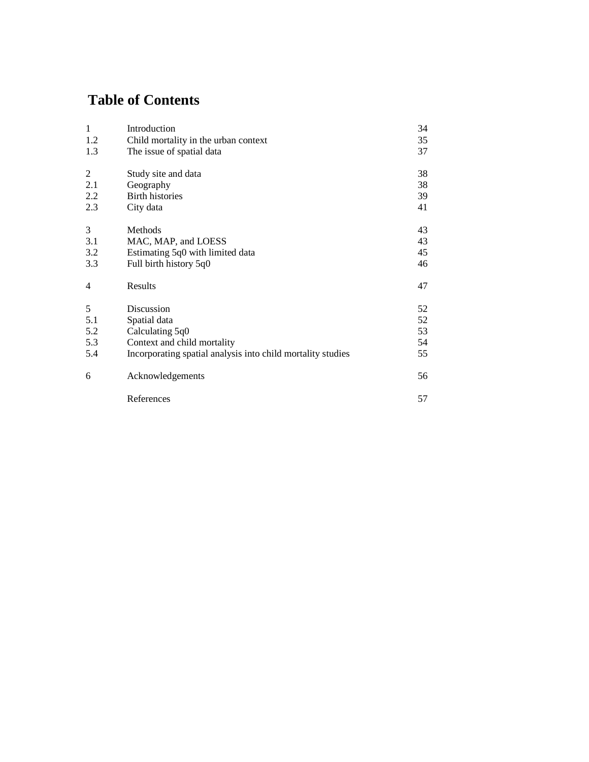# **Table of Contents**

| $\mathbf{1}$ | Introduction                                                | 34 |
|--------------|-------------------------------------------------------------|----|
| 1.2          | Child mortality in the urban context                        | 35 |
| 1.3          | The issue of spatial data                                   | 37 |
| 2            | Study site and data                                         | 38 |
| 2.1          | Geography                                                   | 38 |
| 2.2          | <b>Birth histories</b>                                      | 39 |
| 2.3          | City data                                                   | 41 |
| 3            | Methods                                                     | 43 |
| 3.1          | MAC, MAP, and LOESS                                         | 43 |
| 3.2          | Estimating 5q0 with limited data                            | 45 |
| 3.3          | Full birth history 5q0                                      | 46 |
| 4            | Results                                                     | 47 |
| 5            | Discussion                                                  | 52 |
| 5.1          | Spatial data                                                | 52 |
| 5.2          | Calculating 5q0                                             | 53 |
| 5.3          | Context and child mortality                                 | 54 |
| 5.4          | Incorporating spatial analysis into child mortality studies | 55 |
| 6            | Acknowledgements                                            | 56 |
|              | References                                                  | 57 |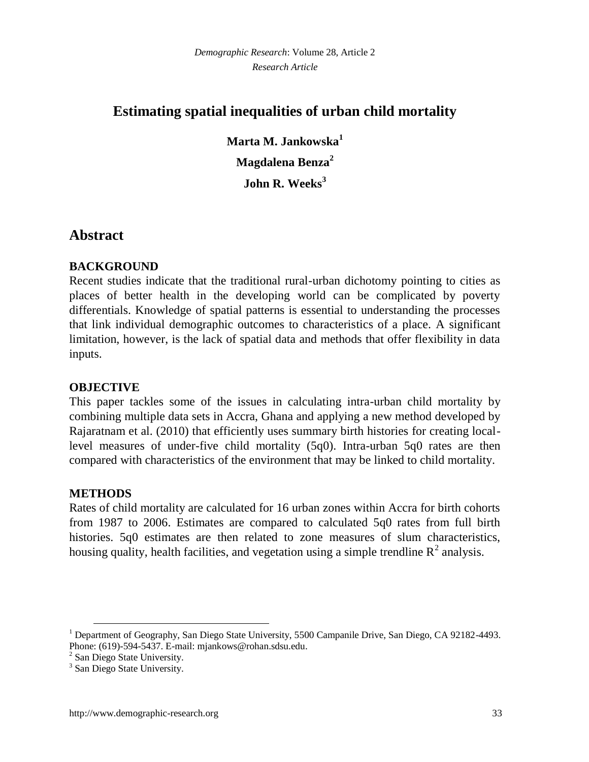## **Estimating spatial inequalities of urban child mortality**

**Marta M. Jankowska<sup>1</sup> Magdalena Benza<sup>2</sup> John R. Weeks<sup>3</sup>**

## **Abstract**

## **BACKGROUND**

Recent studies indicate that the traditional rural-urban dichotomy pointing to cities as places of better health in the developing world can be complicated by poverty differentials. Knowledge of spatial patterns is essential to understanding the processes that link individual demographic outcomes to characteristics of a place. A significant limitation, however, is the lack of spatial data and methods that offer flexibility in data inputs.

## **OBJECTIVE**

This paper tackles some of the issues in calculating intra-urban child mortality by combining multiple data sets in Accra, Ghana and applying a new method developed by Rajaratnam et al. (2010) that efficiently uses summary birth histories for creating locallevel measures of under-five child mortality (5q0). Intra-urban 5q0 rates are then compared with characteristics of the environment that may be linked to child mortality.

## **METHODS**

 $\overline{a}$ 

Rates of child mortality are calculated for 16 urban zones within Accra for birth cohorts from 1987 to 2006. Estimates are compared to calculated 5q0 rates from full birth histories. 5q0 estimates are then related to zone measures of slum characteristics, housing quality, health facilities, and vegetation using a simple trendline  $R^2$  analysis.

<sup>1</sup> Department of Geography, San Diego State University, 5500 Campanile Drive, San Diego, CA 92182-4493. Phone: (619)-594-5437. E-mail: mjankows@rohan.sdsu.edu.

<sup>&</sup>lt;sup>2</sup> San Diego State University.

<sup>&</sup>lt;sup>3</sup> San Diego State University.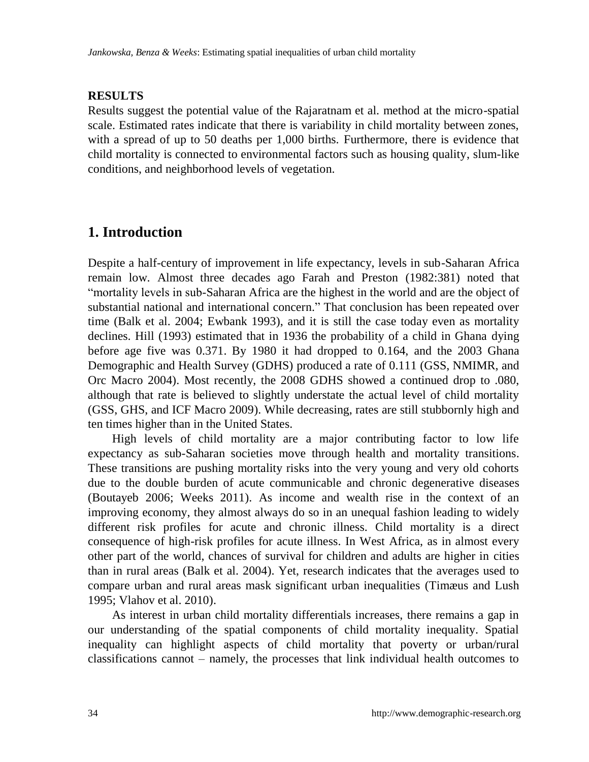## **RESULTS**

Results suggest the potential value of the Rajaratnam et al. method at the micro-spatial scale. Estimated rates indicate that there is variability in child mortality between zones, with a spread of up to 50 deaths per 1,000 births. Furthermore, there is evidence that child mortality is connected to environmental factors such as housing quality, slum-like conditions, and neighborhood levels of vegetation.

## **1. Introduction**

Despite a half-century of improvement in life expectancy, levels in sub-Saharan Africa remain low. Almost three decades ago Farah and Preston [\(1982:381\)](#page-27-0) noted that ―mortality levels in sub-Saharan Africa are the highest in the world and are the object of substantial national and international concern." That conclusion has been repeated over time [\(Balk et al. 2004;](#page-26-0) [Ewbank 1993\)](#page-26-1), and it is still the case today even as mortality declines. Hill [\(1993\)](#page-27-1) estimated that in 1936 the probability of a child in Ghana dying before age five was 0.371. By 1980 it had dropped to 0.164, and the 2003 Ghana Demographic and Health Survey (GDHS) produced a rate of 0.111 [\(GSS, NMIMR, and](#page-27-2)  [Orc Macro 2004\)](#page-27-2). Most recently, the 2008 GDHS showed a continued drop to .080, although that rate is believed to slightly understate the actual level of child mortality [\(GSS, GHS, and ICF Macro 2009\)](#page-27-3). While decreasing, rates are still stubbornly high and ten times higher than in the United States.

High levels of child mortality are a major contributing factor to low life expectancy as sub-Saharan societies move through health and mortality transitions. These transitions are pushing mortality risks into the very young and very old cohorts due to the double burden of acute communicable and chronic degenerative diseases [\(Boutayeb 2006;](#page-26-2) Weeks 2011). As income and wealth rise in the context of an improving economy, they almost always do so in an unequal fashion leading to widely different risk profiles for acute and chronic illness. Child mortality is a direct consequence of high-risk profiles for acute illness. In West Africa, as in almost every other part of the world, chances of survival for children and adults are higher in cities than in rural areas [\(Balk et al. 2004\)](#page-26-3). Yet, research indicates that the averages used to compare urban and rural areas mask significant urban inequalities [\(Timæus and Lush](#page-29-0)  [1995;](#page-29-0) [Vlahov et al. 2010\)](#page-30-0).

As interest in urban child mortality differentials increases, there remains a gap in our understanding of the spatial components of child mortality inequality. Spatial inequality can highlight aspects of child mortality that poverty or urban/rural classifications cannot – namely, the processes that link individual health outcomes to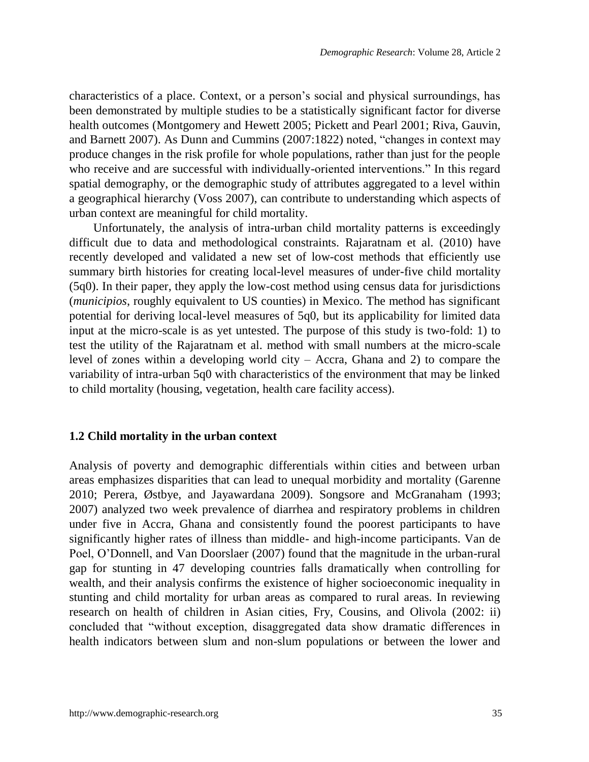characteristics of a place. Context, or a person's social and physical surroundings, has been demonstrated by multiple studies to be a statistically significant factor for diverse health outcomes [\(Montgomery and Hewett 2005;](#page-28-0) [Pickett and Pearl 2001;](#page-28-1) [Riva, Gauvin,](#page-28-2)  [and Barnett 2007\)](#page-28-2). As Dunn and Cummins [\(2007:1822\)](#page-26-4) noted, "changes in context may produce changes in the risk profile for whole populations, rather than just for the people who receive and are successful with individually-oriented interventions." In this regard spatial demography, or the demographic study of attributes aggregated to a level within a geographical hierarchy [\(Voss 2007\)](#page-30-1), can contribute to understanding which aspects of urban context are meaningful for child mortality.

Unfortunately, the analysis of intra-urban child mortality patterns is exceedingly difficult due to data and methodological constraints. Rajaratnam et al. [\(2010\)](#page-28-3) have recently developed and validated a new set of low-cost methods that efficiently use summary birth histories for creating local-level measures of under-five child mortality (5q0). In their paper, they apply the low-cost method using census data for jurisdictions (*municipios*, roughly equivalent to US counties) in Mexico. The method has significant potential for deriving local-level measures of 5q0, but its applicability for limited data input at the micro-scale is as yet untested. The purpose of this study is two-fold: 1) to test the utility of the Rajaratnam et al. method with small numbers at the micro-scale level of zones within a developing world city – Accra, Ghana and 2) to compare the variability of intra-urban 5q0 with characteristics of the environment that may be linked to child mortality (housing, vegetation, health care facility access).

#### **1.2 Child mortality in the urban context**

Analysis of poverty and demographic differentials within cities and between urban areas emphasizes disparities that can lead to unequal morbidity and mortality [\(Garenne](#page-27-4)  [2010;](#page-27-4) [Perera, Østbye, and Jayawardana 2009\)](#page-28-4). Songsore and McGranaham [\(1993;](#page-29-1) [2007\)](#page-29-2) analyzed two week prevalence of diarrhea and respiratory problems in children under five in Accra, Ghana and consistently found the poorest participants to have significantly higher rates of illness than middle- and high-income participants. Van de Poel, O'Donnell, and Van Doorslaer [\(2007\)](#page-30-2) found that the magnitude in the urban-rural gap for stunting in 47 developing countries falls dramatically when controlling for wealth, and their analysis confirms the existence of higher socioeconomic inequality in stunting and child mortality for urban areas as compared to rural areas. In reviewing research on health of children in Asian cities, Fry, Cousins, and Olivola [\(2002: ii\)](#page-27-5) concluded that "without exception, disaggregated data show dramatic differences in health indicators between slum and non-slum populations or between the lower and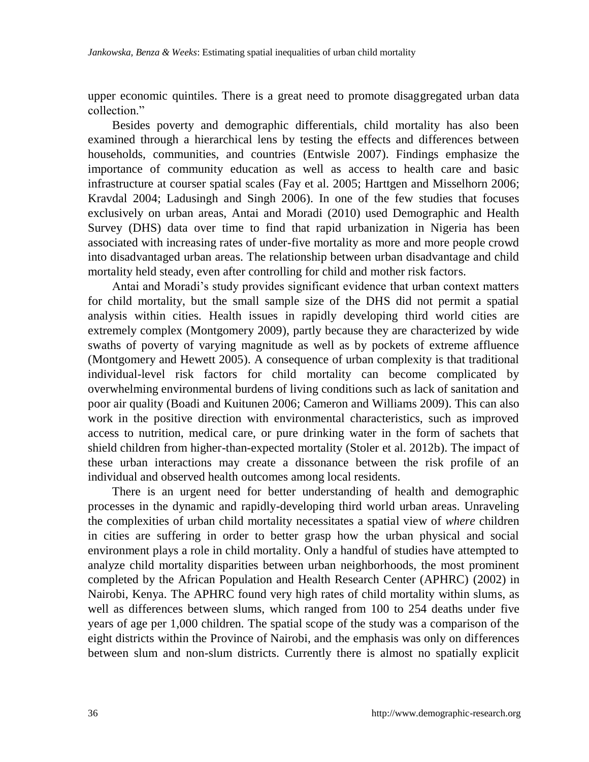upper economic quintiles. There is a great need to promote disaggregated urban data collection."

Besides poverty and demographic differentials, child mortality has also been examined through a hierarchical lens by testing the effects and differences between households, communities, and countries [\(Entwisle 2007\)](#page-26-5). Findings emphasize the importance of community education as well as access to health care and basic infrastructure at courser spatial scales [\(Fay et al. 2005;](#page-27-6) [Harttgen and Misselhorn 2006;](#page-27-7) [Kravdal 2004;](#page-27-8) [Ladusingh and Singh 2006\)](#page-28-5). In one of the few studies that focuses exclusively on urban areas, Antai and Moradi [\(2010\)](#page-26-6) used Demographic and Health Survey (DHS) data over time to find that rapid urbanization in Nigeria has been associated with increasing rates of under-five mortality as more and more people crowd into disadvantaged urban areas. The relationship between urban disadvantage and child mortality held steady, even after controlling for child and mother risk factors.

Antai and Moradi's study provides significant evidence that urban context matters for child mortality, but the small sample size of the DHS did not permit a spatial analysis within cities. Health issues in rapidly developing third world cities are extremely complex [\(Montgomery 2009\)](#page-28-6), partly because they are characterized by wide swaths of poverty of varying magnitude as well as by pockets of extreme affluence [\(Montgomery and Hewett 2005\)](#page-28-0). A consequence of urban complexity is that traditional individual-level risk factors for child mortality can become complicated by overwhelming environmental burdens of living conditions such as lack of sanitation and poor air quality [\(Boadi and Kuitunen 2006;](#page-26-7) [Cameron and Williams 2009\)](#page-26-8). This can also work in the positive direction with environmental characteristics, such as improved access to nutrition, medical care, or pure drinking water in the form of sachets that shield children from higher-than-expected mortality [\(Stoler et al. 2012b\)](#page-29-3). The impact of these urban interactions may create a dissonance between the risk profile of an individual and observed health outcomes among local residents.

There is an urgent need for better understanding of health and demographic processes in the dynamic and rapidly-developing third world urban areas. Unraveling the complexities of urban child mortality necessitates a spatial view of *where* children in cities are suffering in order to better grasp how the urban physical and social environment plays a role in child mortality. Only a handful of studies have attempted to analyze child mortality disparities between urban neighborhoods, the most prominent completed by the African Population and Health Research Center (APHRC) [\(2002\)](#page-26-3) in Nairobi, Kenya. The APHRC found very high rates of child mortality within slums, as well as differences between slums, which ranged from 100 to 254 deaths under five years of age per 1,000 children. The spatial scope of the study was a comparison of the eight districts within the Province of Nairobi, and the emphasis was only on differences between slum and non-slum districts. Currently there is almost no spatially explicit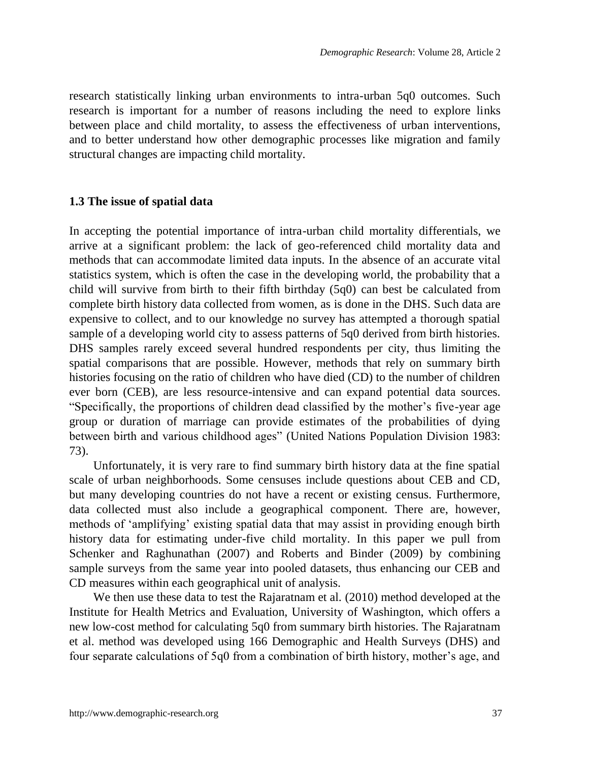research statistically linking urban environments to intra-urban 5q0 outcomes. Such research is important for a number of reasons including the need to explore links between place and child mortality, to assess the effectiveness of urban interventions, and to better understand how other demographic processes like migration and family structural changes are impacting child mortality.

#### **1.3 The issue of spatial data**

In accepting the potential importance of intra-urban child mortality differentials, we arrive at a significant problem: the lack of geo-referenced child mortality data and methods that can accommodate limited data inputs. In the absence of an accurate vital statistics system, which is often the case in the developing world, the probability that a child will survive from birth to their fifth birthday (5q0) can best be calculated from complete birth history data collected from women, as is done in the DHS. Such data are expensive to collect, and to our knowledge no survey has attempted a thorough spatial sample of a developing world city to assess patterns of 5q0 derived from birth histories. DHS samples rarely exceed several hundred respondents per city, thus limiting the spatial comparisons that are possible. However, methods that rely on summary birth histories focusing on the ratio of children who have died (CD) to the number of children ever born (CEB), are less resource-intensive and can expand potential data sources. ―Specifically, the proportions of children dead classified by the mother's five-year age group or duration of marriage can provide estimates of the probabilities of dying between birth and various childhood ages" (United Nations Population Division 1983: [73\)](#page-29-4).

Unfortunately, it is very rare to find summary birth history data at the fine spatial scale of urban neighborhoods. Some censuses include questions about CEB and CD, but many developing countries do not have a recent or existing census. Furthermore, data collected must also include a geographical component. There are, however, methods of 'amplifying' existing spatial data that may assist in providing enough birth history data for estimating under-five child mortality. In this paper we pull from Schenker and Raghunathan [\(2007\)](#page-29-5) and Roberts and Binder [\(2009\)](#page-29-6) by combining sample surveys from the same year into pooled datasets, thus enhancing our CEB and CD measures within each geographical unit of analysis.

We then use these data to test the Rajaratnam et al. [\(2010\)](#page-28-3) method developed at the Institute for Health Metrics and Evaluation, University of Washington, which offers a new low-cost method for calculating 5q0 from summary birth histories. The Rajaratnam et al. method was developed using 166 Demographic and Health Surveys (DHS) and four separate calculations of 5q0 from a combination of birth history, mother's age, and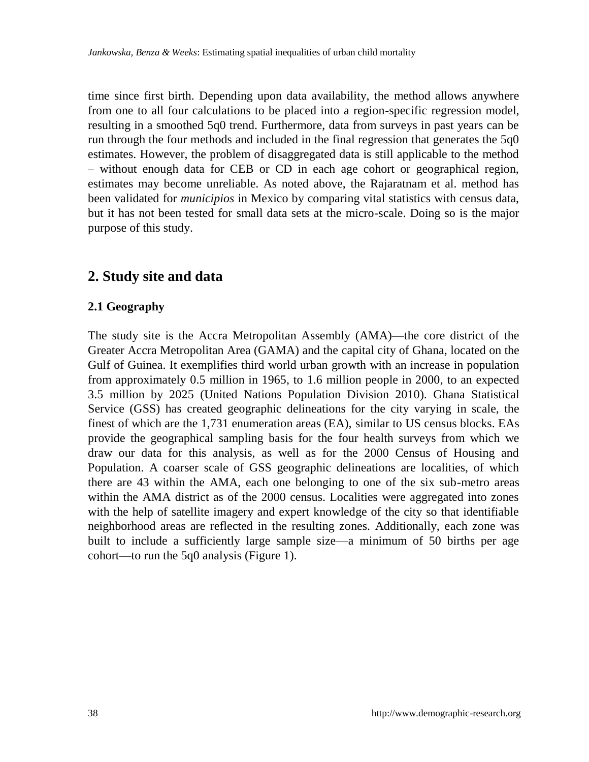time since first birth. Depending upon data availability, the method allows anywhere from one to all four calculations to be placed into a region-specific regression model, resulting in a smoothed 5q0 trend. Furthermore, data from surveys in past years can be run through the four methods and included in the final regression that generates the 5q0 estimates. However, the problem of disaggregated data is still applicable to the method – without enough data for CEB or CD in each age cohort or geographical region, estimates may become unreliable. As noted above, the Rajaratnam et al. method has been validated for *municipios* in Mexico by comparing vital statistics with census data, but it has not been tested for small data sets at the micro-scale. Doing so is the major purpose of this study.

## **2. Study site and data**

## **2.1 Geography**

The study site is the Accra Metropolitan Assembly (AMA)—the core district of the Greater Accra Metropolitan Area (GAMA) and the capital city of Ghana, located on the Gulf of Guinea. It exemplifies third world urban growth with an increase in population from approximately 0.5 million in 1965, to 1.6 million people in 2000, to an expected 3.5 million by 2025 [\(United Nations Population Division 2010\)](#page-30-3). Ghana Statistical Service (GSS) has created geographic delineations for the city varying in scale, the finest of which are the 1,731 enumeration areas (EA), similar to US census blocks. EAs provide the geographical sampling basis for the four health surveys from which we draw our data for this analysis, as well as for the 2000 Census of Housing and Population. A coarser scale of GSS geographic delineations are localities, of which there are 43 within the AMA, each one belonging to one of the six sub-metro areas within the AMA district as of the 2000 census. Localities were aggregated into zones with the help of satellite imagery and expert knowledge of the city so that identifiable neighborhood areas are reflected in the resulting zones. Additionally, each zone was built to include a sufficiently large sample size—a minimum of 50 births per age cohort—to run the 5q0 analysis (Figure 1).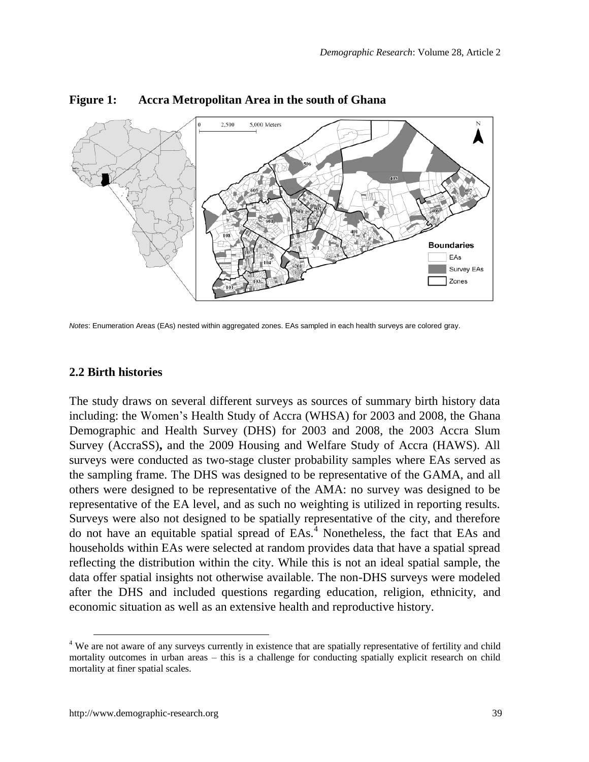

#### **Figure 1: Accra Metropolitan Area in the south of Ghana**

*Notes*: Enumeration Areas (EAs) nested within aggregated zones. EAs sampled in each health surveys are colored gray.

#### **2.2 Birth histories**

The study draws on several different surveys as sources of summary birth history data including: the Women's Health Study of Accra (WHSA) for 2003 and 2008, the Ghana Demographic and Health Survey (DHS) for 2003 and 2008, the 2003 Accra Slum Survey (AccraSS)**,** and the 2009 Housing and Welfare Study of Accra (HAWS). All surveys were conducted as two-stage cluster probability samples where EAs served as the sampling frame. The DHS was designed to be representative of the GAMA, and all others were designed to be representative of the AMA: no survey was designed to be representative of the EA level, and as such no weighting is utilized in reporting results. Surveys were also not designed to be spatially representative of the city, and therefore do not have an equitable spatial spread of EAs.<sup>4</sup> Nonetheless, the fact that EAs and households within EAs were selected at random provides data that have a spatial spread reflecting the distribution within the city. While this is not an ideal spatial sample, the data offer spatial insights not otherwise available. The non-DHS surveys were modeled after the DHS and included questions regarding education, religion, ethnicity, and economic situation as well as an extensive health and reproductive history.

 $\overline{a}$ 

<sup>&</sup>lt;sup>4</sup> We are not aware of any surveys currently in existence that are spatially representative of fertility and child mortality outcomes in urban areas – this is a challenge for conducting spatially explicit research on child mortality at finer spatial scales.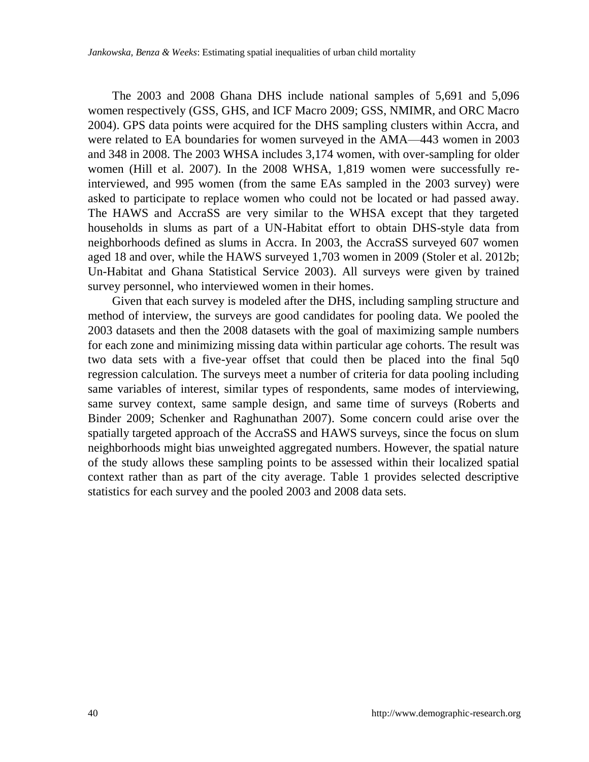The 2003 and 2008 Ghana DHS include national samples of 5,691 and 5,096 women respectively [\(GSS, GHS, and ICF Macro 2009;](#page-27-3) [GSS, NMIMR, and ORC Macro](#page-27-2)  [2004\)](#page-27-2). GPS data points were acquired for the DHS sampling clusters within Accra, and were related to EA boundaries for women surveyed in the AMA—443 women in 2003 and 348 in 2008. The 2003 WHSA includes 3,174 women, with over-sampling for older women [\(Hill et al. 2007\)](#page-27-9). In the 2008 WHSA, 1,819 women were successfully reinterviewed, and 995 women (from the same EAs sampled in the 2003 survey) were asked to participate to replace women who could not be located or had passed away. The HAWS and AccraSS are very similar to the WHSA except that they targeted households in slums as part of a UN-Habitat effort to obtain DHS-style data from neighborhoods defined as slums in Accra. In 2003, the AccraSS surveyed 607 women aged 18 and over, while the HAWS surveyed 1,703 women in 2009 [\(Stoler et al. 2012b;](#page-29-3) [Un-Habitat and Ghana Statistical Service 2003\)](#page-29-7). All surveys were given by trained survey personnel, who interviewed women in their homes.

Given that each survey is modeled after the DHS, including sampling structure and method of interview, the surveys are good candidates for pooling data. We pooled the 2003 datasets and then the 2008 datasets with the goal of maximizing sample numbers for each zone and minimizing missing data within particular age cohorts. The result was two data sets with a five-year offset that could then be placed into the final 5q0 regression calculation. The surveys meet a number of criteria for data pooling including same variables of interest, similar types of respondents, same modes of interviewing, same survey context, same sample design, and same time of surveys [\(Roberts and](#page-29-6)  [Binder 2009;](#page-29-6) [Schenker and Raghunathan 2007\)](#page-29-5). Some concern could arise over the spatially targeted approach of the AccraSS and HAWS surveys, since the focus on slum neighborhoods might bias unweighted aggregated numbers. However, the spatial nature of the study allows these sampling points to be assessed within their localized spatial context rather than as part of the city average. Table 1 provides selected descriptive statistics for each survey and the pooled 2003 and 2008 data sets.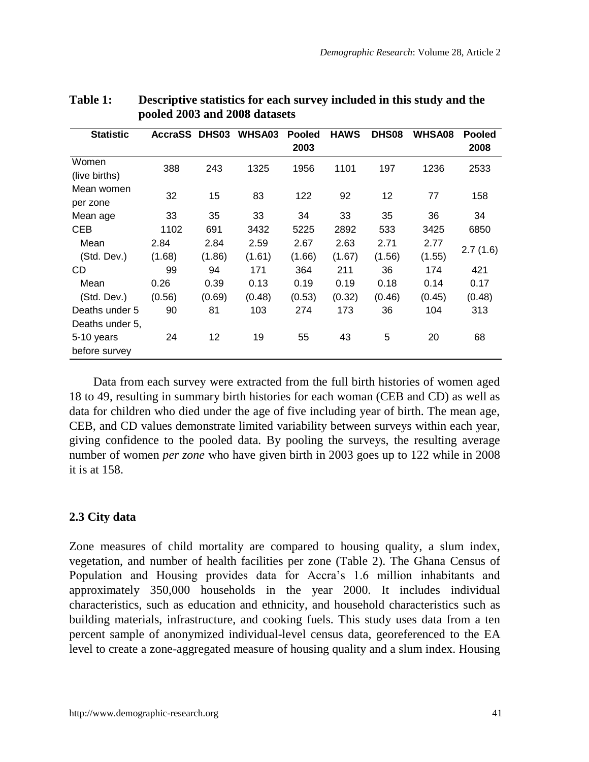| <b>Statistic</b> | <b>AccraSS</b> | DHS03  | WHSA03 | <b>Pooled</b> | <b>HAWS</b> | DHS <sub>08</sub> | WHSA08 | <b>Pooled</b> |
|------------------|----------------|--------|--------|---------------|-------------|-------------------|--------|---------------|
|                  |                |        |        | 2003          |             |                   |        | 2008          |
| Women            | 388            | 243    | 1325   | 1956          | 1101        | 197               | 1236   | 2533          |
| (live births)    |                |        |        |               |             |                   |        |               |
| Mean women       | 32             | 15     | 83     | 122           | 92          | 12                | 77     | 158           |
| per zone         |                |        |        |               |             |                   |        |               |
| Mean age         | 33             | 35     | 33     | 34            | 33          | 35                | 36     | 34            |
| <b>CEB</b>       | 1102           | 691    | 3432   | 5225          | 2892        | 533               | 3425   | 6850          |
| Mean             | 2.84           | 2.84   | 2.59   | 2.67          | 2.63        | 2.71              | 2.77   | 2.7(1.6)      |
| (Std. Dev.)      | (1.68)         | (1.86) | (1.61) | (1.66)        | (1.67)      | (1.56)            | (1.55) |               |
| CD               | 99             | 94     | 171    | 364           | 211         | 36                | 174    | 421           |
| Mean             | 0.26           | 0.39   | 0.13   | 0.19          | 0.19        | 0.18              | 0.14   | 0.17          |
| (Std. Dev.)      | (0.56)         | (0.69) | (0.48) | (0.53)        | (0.32)      | (0.46)            | (0.45) | (0.48)        |
| Deaths under 5   | 90             | 81     | 103    | 274           | 173         | 36                | 104    | 313           |
| Deaths under 5,  |                |        |        |               |             |                   |        |               |
| 5-10 years       | 24             | 12     | 19     | 55            | 43          | 5                 | 20     | 68            |
| before survey    |                |        |        |               |             |                   |        |               |

### **Table 1: Descriptive statistics for each survey included in this study and the pooled 2003 and 2008 datasets**

Data from each survey were extracted from the full birth histories of women aged 18 to 49, resulting in summary birth histories for each woman (CEB and CD) as well as data for children who died under the age of five including year of birth. The mean age, CEB, and CD values demonstrate limited variability between surveys within each year, giving confidence to the pooled data. By pooling the surveys, the resulting average number of women *per zone* who have given birth in 2003 goes up to 122 while in 2008 it is at 158.

### **2.3 City data**

Zone measures of child mortality are compared to housing quality, a slum index, vegetation, and number of health facilities per zone (Table 2). The Ghana Census of Population and Housing provides data for Accra's 1.6 million inhabitants and approximately 350,000 households in the year 2000. It includes individual characteristics, such as education and ethnicity, and household characteristics such as building materials, infrastructure, and cooking fuels. This study uses data from a ten percent sample of anonymized individual-level census data, georeferenced to the EA level to create a zone-aggregated measure of housing quality and a slum index. Housing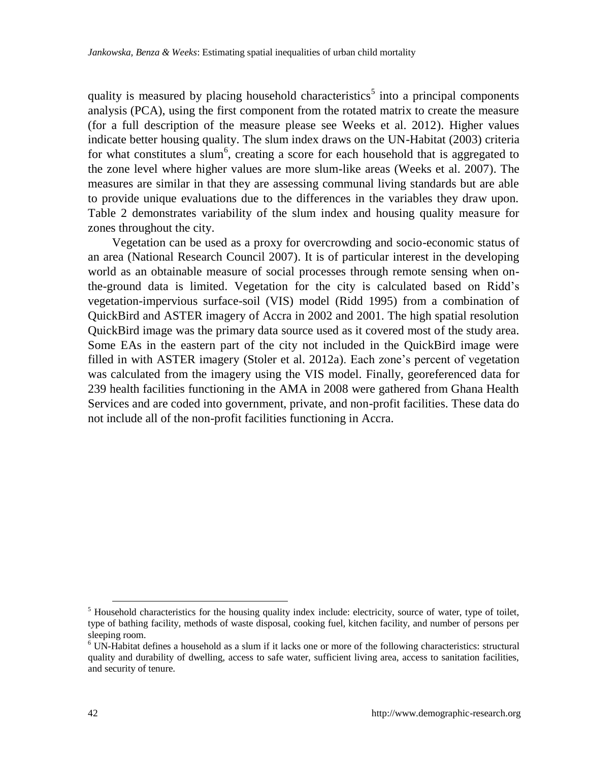quality is measured by placing household characteristics<sup>5</sup> into a principal components analysis (PCA), using the first component from the rotated matrix to create the measure [\(for a full description of the measure please see Weeks et al. 2012\)](#page-30-4). Higher values indicate better housing quality. The slum index draws on the UN-Habitat [\(2003\)](#page-29-8) criteria for what constitutes a slum<sup>6</sup>, creating a score for each household that is aggregated to the zone level where higher values are more slum-like areas [\(Weeks et al. 2007\)](#page-30-5). The measures are similar in that they are assessing communal living standards but are able to provide unique evaluations due to the differences in the variables they draw upon. Table 2 demonstrates variability of the slum index and housing quality measure for zones throughout the city.

Vegetation can be used as a proxy for overcrowding and socio-economic status of an area [\(National Research Council 2007\)](#page-28-7). It is of particular interest in the developing world as an obtainable measure of social processes through remote sensing when onthe-ground data is limited. Vegetation for the city is calculated based on Ridd's vegetation-impervious surface-soil (VIS) model [\(Ridd 1995\)](#page-28-8) from a combination of QuickBird and ASTER imagery of Accra in 2002 and 2001. The high spatial resolution QuickBird image was the primary data source used as it covered most of the study area. Some EAs in the eastern part of the city not included in the QuickBird image were filled in with ASTER imagery [\(Stoler et al. 2012a\)](#page-29-9). Each zone's percent of vegetation was calculated from the imagery using the VIS model. Finally, georeferenced data for 239 health facilities functioning in the AMA in 2008 were gathered from Ghana Health Services and are coded into government, private, and non-profit facilities. These data do not include all of the non-profit facilities functioning in Accra.

-

 $<sup>5</sup>$  Household characteristics for the housing quality index include: electricity, source of water, type of toilet,</sup> type of bathing facility, methods of waste disposal, cooking fuel, kitchen facility, and number of persons per sleeping room.

<sup>6</sup> UN-Habitat defines a household as a slum if it lacks one or more of the following characteristics: structural quality and durability of dwelling, access to safe water, sufficient living area, access to sanitation facilities, and security of tenure.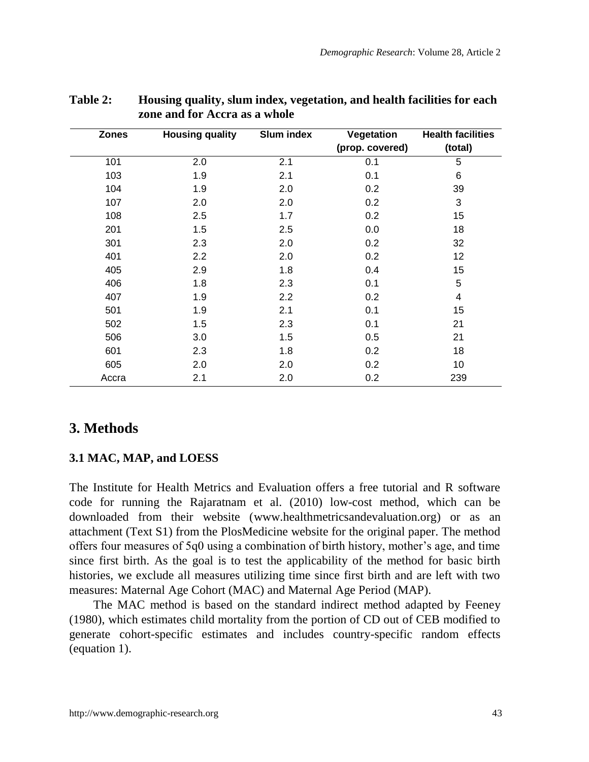| <b>Zones</b> | <b>Housing quality</b> | Slum index | Vegetation      | <b>Health facilities</b> |
|--------------|------------------------|------------|-----------------|--------------------------|
|              |                        |            | (prop. covered) | (total)                  |
| 101          | 2.0                    | 2.1        | 0.1             | 5                        |
| 103          | 1.9                    | 2.1        | 0.1             | 6                        |
| 104          | 1.9                    | 2.0        | 0.2             | 39                       |
| 107          | 2.0                    | 2.0        | 0.2             | 3                        |
| 108          | 2.5                    | 1.7        | 0.2             | 15                       |
| 201          | 1.5                    | 2.5        | 0.0             | 18                       |
| 301          | 2.3                    | 2.0        | 0.2             | 32                       |
| 401          | 2.2                    | 2.0        | 0.2             | 12                       |
| 405          | 2.9                    | 1.8        | 0.4             | 15                       |
| 406          | 1.8                    | 2.3        | 0.1             | 5                        |
| 407          | 1.9                    | 2.2        | 0.2             | 4                        |
| 501          | 1.9                    | 2.1        | 0.1             | 15                       |
| 502          | 1.5                    | 2.3        | 0.1             | 21                       |
| 506          | 3.0                    | 1.5        | 0.5             | 21                       |
| 601          | 2.3                    | 1.8        | 0.2             | 18                       |
| 605          | 2.0                    | 2.0        | 0.2             | 10                       |
| Accra        | 2.1                    | 2.0        | 0.2             | 239                      |

### **Table 2: Housing quality, slum index, vegetation, and health facilities for each zone and for Accra as a whole**

## **3. Methods**

### **3.1 MAC, MAP, and LOESS**

The Institute for Health Metrics and Evaluation offers a free tutorial and R software code for running the Rajaratnam et al. [\(2010\)](#page-28-3) low-cost method, which can be downloaded from their website (www.healthmetricsandevaluation.org) or as an attachment (Text S1) from the PlosMedicine website for the original paper. The method offers four measures of 5q0 using a combination of birth history, mother's age, and time since first birth. As the goal is to test the applicability of the method for basic birth histories, we exclude all measures utilizing time since first birth and are left with two measures: Maternal Age Cohort (MAC) and Maternal Age Period (MAP).

The MAC method is based on the standard indirect method adapted by Feeney [\(1980\)](#page-27-10), which estimates child mortality from the portion of CD out of CEB modified to generate cohort-specific estimates and includes country-specific random effects (equation 1).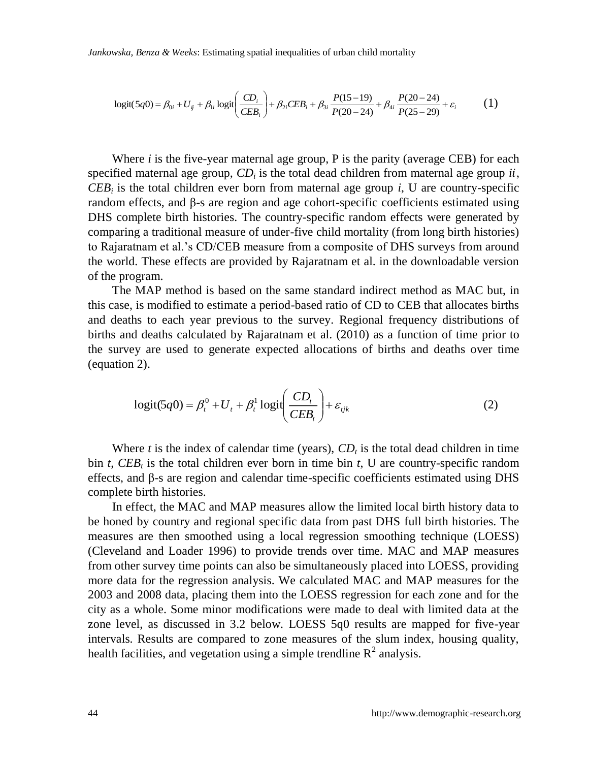*Jankowska, Benza & Weeks*: Estimating spatial inequalities of urban child mortality

$$
logit(5q0) = \beta_{0i} + U_{ij} + \beta_{1i} logit\left(\frac{CD_i}{CEB_i}\right) + \beta_{2i} CEB_i + \beta_{3i} \frac{P(15-19)}{P(20-24)} + \beta_{4i} \frac{P(20-24)}{P(25-29)} + \varepsilon_i
$$
 (1)

Where *i* is the five-year maternal age group, P is the parity (average CEB) for each specified maternal age group,  $CD_i$  is the total dead children from maternal age group  $ii$ ,  $CEB_i$  is the total children ever born from maternal age group *i*, U are country-specific random effects, and β-s are region and age cohort-specific coefficients estimated using DHS complete birth histories. The country-specific random effects were generated by comparing a traditional measure of under-five child mortality (from long birth histories) to Rajaratnam et al.'s CD/CEB measure from a composite of DHS surveys from around the world. These effects are provided by Rajaratnam et al. in the downloadable version of the program.

The MAP method is based on the same standard indirect method as MAC but, in this case, is modified to estimate a period-based ratio of CD to CEB that allocates births and deaths to each year previous to the survey. Regional frequency distributions of births and deaths calculated by Rajaratnam et al. [\(2010\)](#page-28-3) as a function of time prior to the survey are used to generate expected allocations of births and deaths over time (equation 2).

$$
logit(5q0) = \beta_t^0 + U_t + \beta_t^1 logit\left(\frac{CD_t}{CEB_t}\right) + \varepsilon_{ijk}
$$
 (2)

Where  $t$  is the index of calendar time (years),  $CD<sub>t</sub>$  is the total dead children in time bin  $t$ ,  $CEB_t$  is the total children ever born in time bin  $t$ , U are country-specific random effects, and β-s are region and calendar time-specific coefficients estimated using DHS complete birth histories.

In effect, the MAC and MAP measures allow the limited local birth history data to be honed by country and regional specific data from past DHS full birth histories. The measures are then smoothed using a local regression smoothing technique (LOESS) [\(Cleveland and Loader 1996\)](#page-26-9) to provide trends over time. MAC and MAP measures from other survey time points can also be simultaneously placed into LOESS, providing more data for the regression analysis. We calculated MAC and MAP measures for the 2003 and 2008 data, placing them into the LOESS regression for each zone and for the city as a whole. Some minor modifications were made to deal with limited data at the zone level, as discussed in 3.2 below. LOESS 5q0 results are mapped for five-year intervals. Results are compared to zone measures of the slum index, housing quality, health facilities, and vegetation using a simple trendline  $R^2$  analysis.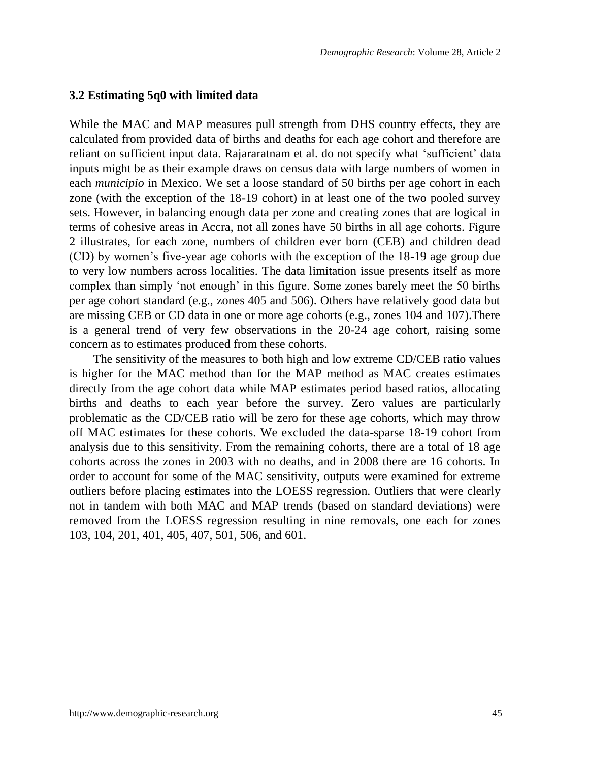#### **3.2 Estimating 5q0 with limited data**

While the MAC and MAP measures pull strength from DHS country effects, they are calculated from provided data of births and deaths for each age cohort and therefore are reliant on sufficient input data. Rajararatnam et al. do not specify what 'sufficient' data inputs might be as their example draws on census data with large numbers of women in each *municipio* in Mexico. We set a loose standard of 50 births per age cohort in each zone (with the exception of the 18-19 cohort) in at least one of the two pooled survey sets. However, in balancing enough data per zone and creating zones that are logical in terms of cohesive areas in Accra, not all zones have 50 births in all age cohorts. Figure 2 illustrates, for each zone, numbers of children ever born (CEB) and children dead (CD) by women's five-year age cohorts with the exception of the 18-19 age group due to very low numbers across localities. The data limitation issue presents itself as more complex than simply ‗not enough' in this figure. Some zones barely meet the 50 births per age cohort standard (e.g., zones 405 and 506). Others have relatively good data but are missing CEB or CD data in one or more age cohorts (e.g., zones 104 and 107).There is a general trend of very few observations in the 20-24 age cohort, raising some concern as to estimates produced from these cohorts.

The sensitivity of the measures to both high and low extreme CD/CEB ratio values is higher for the MAC method than for the MAP method as MAC creates estimates directly from the age cohort data while MAP estimates period based ratios, allocating births and deaths to each year before the survey. Zero values are particularly problematic as the CD/CEB ratio will be zero for these age cohorts, which may throw off MAC estimates for these cohorts. We excluded the data-sparse 18-19 cohort from analysis due to this sensitivity. From the remaining cohorts, there are a total of 18 age cohorts across the zones in 2003 with no deaths, and in 2008 there are 16 cohorts. In order to account for some of the MAC sensitivity, outputs were examined for extreme outliers before placing estimates into the LOESS regression. Outliers that were clearly not in tandem with both MAC and MAP trends (based on standard deviations) were removed from the LOESS regression resulting in nine removals, one each for zones 103, 104, 201, 401, 405, 407, 501, 506, and 601.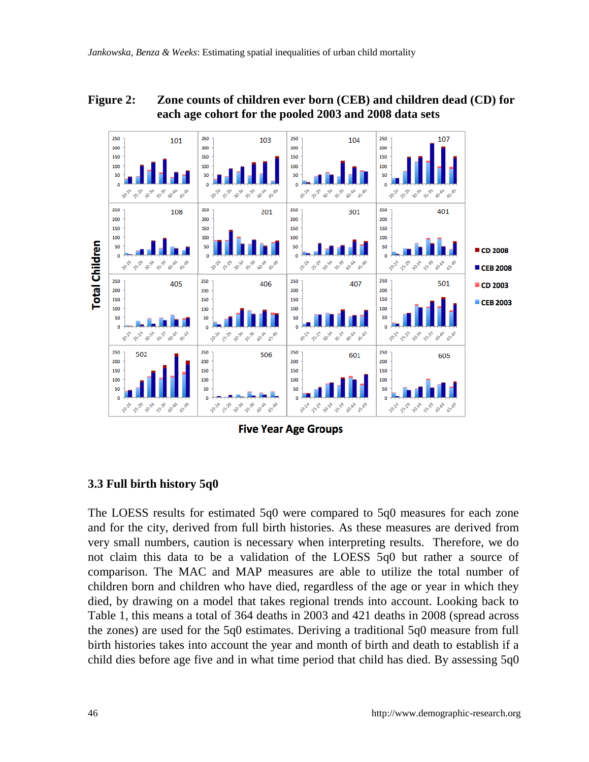### **Figure 2: Zone counts of children ever born (CEB) and children dead (CD) for each age cohort for the pooled 2003 and 2008 data sets**



**Five Year Age Groups** 

## **3.3 Full birth history 5q0**

The LOESS results for estimated 5q0 were compared to 5q0 measures for each zone and for the city, derived from full birth histories. As these measures are derived from very small numbers, caution is necessary when interpreting results. Therefore, we do not claim this data to be a validation of the LOESS 5q0 but rather a source of comparison. The MAC and MAP measures are able to utilize the total number of children born and children who have died, regardless of the age or year in which they died, by drawing on a model that takes regional trends into account. Looking back to Table 1, this means a total of 364 deaths in 2003 and 421 deaths in 2008 (spread across the zones) are used for the 5q0 estimates. Deriving a traditional 5q0 measure from full birth histories takes into account the year and month of birth and death to establish if a child dies before age five and in what time period that child has died. By assessing 5q0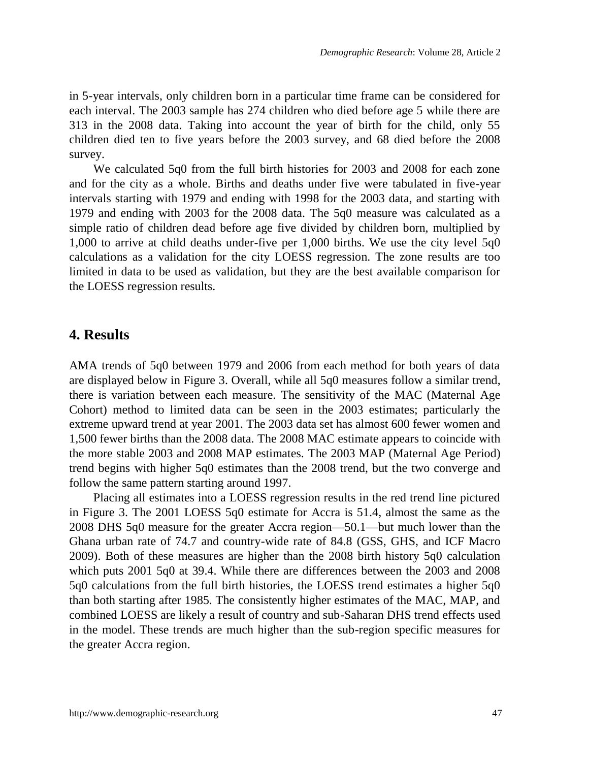in 5-year intervals, only children born in a particular time frame can be considered for each interval. The 2003 sample has 274 children who died before age 5 while there are 313 in the 2008 data. Taking into account the year of birth for the child, only 55 children died ten to five years before the 2003 survey, and 68 died before the 2008 survey.

We calculated 5q0 from the full birth histories for 2003 and 2008 for each zone and for the city as a whole. Births and deaths under five were tabulated in five-year intervals starting with 1979 and ending with 1998 for the 2003 data, and starting with 1979 and ending with 2003 for the 2008 data. The 5q0 measure was calculated as a simple ratio of children dead before age five divided by children born, multiplied by 1,000 to arrive at child deaths under-five per 1,000 births. We use the city level 5q0 calculations as a validation for the city LOESS regression. The zone results are too limited in data to be used as validation, but they are the best available comparison for the LOESS regression results.

## **4. Results**

AMA trends of 5q0 between 1979 and 2006 from each method for both years of data are displayed below in Figure 3. Overall, while all 5q0 measures follow a similar trend, there is variation between each measure. The sensitivity of the MAC (Maternal Age Cohort) method to limited data can be seen in the 2003 estimates; particularly the extreme upward trend at year 2001. The 2003 data set has almost 600 fewer women and 1,500 fewer births than the 2008 data. The 2008 MAC estimate appears to coincide with the more stable 2003 and 2008 MAP estimates. The 2003 MAP (Maternal Age Period) trend begins with higher 5q0 estimates than the 2008 trend, but the two converge and follow the same pattern starting around 1997.

Placing all estimates into a LOESS regression results in the red trend line pictured in Figure 3. The 2001 LOESS 5q0 estimate for Accra is 51.4, almost the same as the 2008 DHS 5q0 measure for the greater Accra region—50.1—but much lower than the Ghana urban rate of 74.7 and country-wide rate of 84.8 [\(GSS, GHS, and ICF Macro](#page-27-3)  [2009\)](#page-27-3). Both of these measures are higher than the 2008 birth history 5q0 calculation which puts 2001 5q0 at 39.4. While there are differences between the 2003 and 2008 5q0 calculations from the full birth histories, the LOESS trend estimates a higher 5q0 than both starting after 1985. The consistently higher estimates of the MAC, MAP, and combined LOESS are likely a result of country and sub-Saharan DHS trend effects used in the model. These trends are much higher than the sub-region specific measures for the greater Accra region.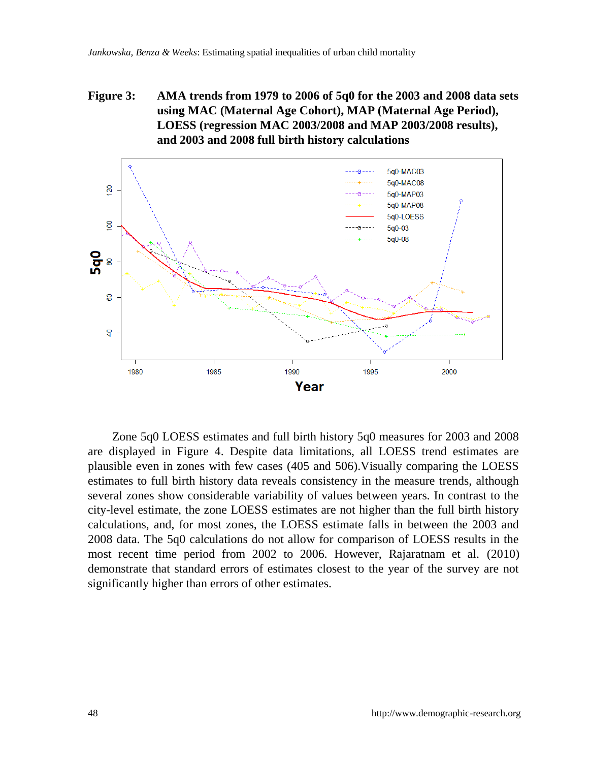### **Figure 3: AMA trends from 1979 to 2006 of 5q0 for the 2003 and 2008 data sets using MAC (Maternal Age Cohort), MAP (Maternal Age Period), LOESS (regression MAC 2003/2008 and MAP 2003/2008 results), and 2003 and 2008 full birth history calculations**



Zone 5q0 LOESS estimates and full birth history 5q0 measures for 2003 and 2008 are displayed in Figure 4. Despite data limitations, all LOESS trend estimates are plausible even in zones with few cases (405 and 506).Visually comparing the LOESS estimates to full birth history data reveals consistency in the measure trends, although several zones show considerable variability of values between years. In contrast to the city-level estimate, the zone LOESS estimates are not higher than the full birth history calculations, and, for most zones, the LOESS estimate falls in between the 2003 and 2008 data. The 5q0 calculations do not allow for comparison of LOESS results in the most recent time period from 2002 to 2006. However, Rajaratnam et al. [\(2010\)](#page-28-3) demonstrate that standard errors of estimates closest to the year of the survey are not significantly higher than errors of other estimates.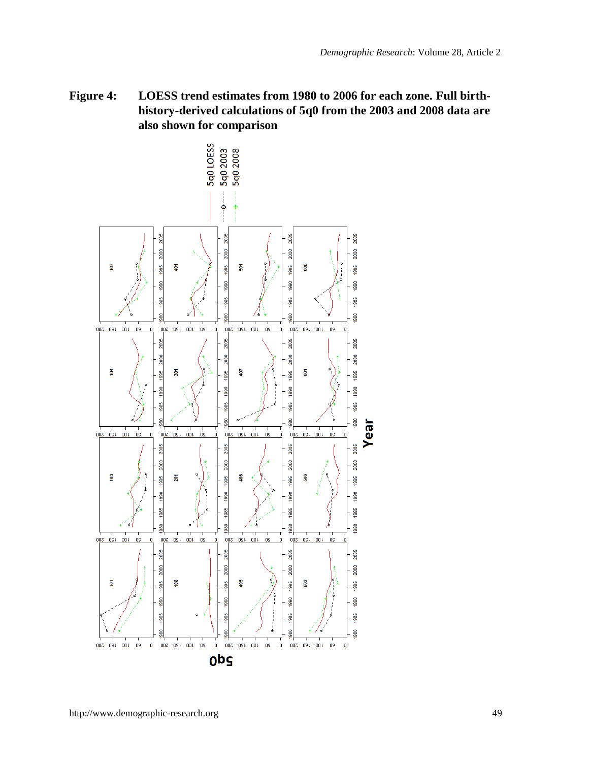**Figure 4: LOESS trend estimates from 1980 to 2006 for each zone. Full birthhistory-derived calculations of 5q0 from the 2003 and 2008 data are also shown for comparison**

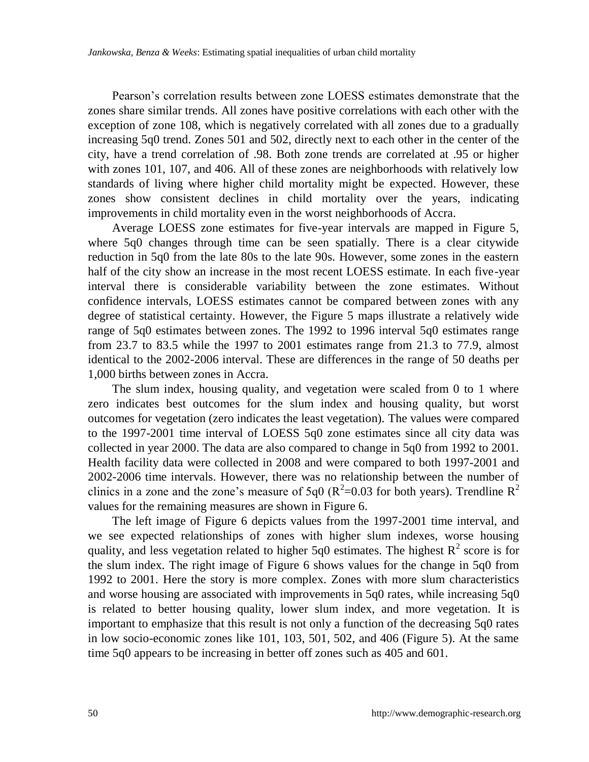Pearson's correlation results between zone LOESS estimates demonstrate that the zones share similar trends. All zones have positive correlations with each other with the exception of zone 108, which is negatively correlated with all zones due to a gradually increasing 5q0 trend. Zones 501 and 502, directly next to each other in the center of the city, have a trend correlation of .98. Both zone trends are correlated at .95 or higher with zones 101, 107, and 406. All of these zones are neighborhoods with relatively low standards of living where higher child mortality might be expected. However, these zones show consistent declines in child mortality over the years, indicating improvements in child mortality even in the worst neighborhoods of Accra.

Average LOESS zone estimates for five-year intervals are mapped in Figure 5, where 5q0 changes through time can be seen spatially. There is a clear citywide reduction in 5q0 from the late 80s to the late 90s. However, some zones in the eastern half of the city show an increase in the most recent LOESS estimate. In each five-year interval there is considerable variability between the zone estimates. Without confidence intervals, LOESS estimates cannot be compared between zones with any degree of statistical certainty. However, the Figure 5 maps illustrate a relatively wide range of 5q0 estimates between zones. The 1992 to 1996 interval 5q0 estimates range from 23.7 to 83.5 while the 1997 to 2001 estimates range from 21.3 to 77.9, almost identical to the 2002-2006 interval. These are differences in the range of 50 deaths per 1,000 births between zones in Accra.

The slum index, housing quality, and vegetation were scaled from 0 to 1 where zero indicates best outcomes for the slum index and housing quality, but worst outcomes for vegetation (zero indicates the least vegetation). The values were compared to the 1997-2001 time interval of LOESS 5q0 zone estimates since all city data was collected in year 2000. The data are also compared to change in 5q0 from 1992 to 2001. Health facility data were collected in 2008 and were compared to both 1997-2001 and 2002-2006 time intervals. However, there was no relationship between the number of clinics in a zone and the zone's measure of 5q0 ( $R^2$ =0.03 for both years). Trendline  $R^2$ values for the remaining measures are shown in Figure 6.

The left image of Figure 6 depicts values from the 1997-2001 time interval, and we see expected relationships of zones with higher slum indexes, worse housing quality, and less vegetation related to higher 5q0 estimates. The highest  $R^2$  score is for the slum index. The right image of Figure 6 shows values for the change in 5q0 from 1992 to 2001. Here the story is more complex. Zones with more slum characteristics and worse housing are associated with improvements in 5q0 rates, while increasing 5q0 is related to better housing quality, lower slum index, and more vegetation. It is important to emphasize that this result is not only a function of the decreasing 5q0 rates in low socio-economic zones like 101, 103, 501, 502, and 406 (Figure 5). At the same time 5q0 appears to be increasing in better off zones such as 405 and 601.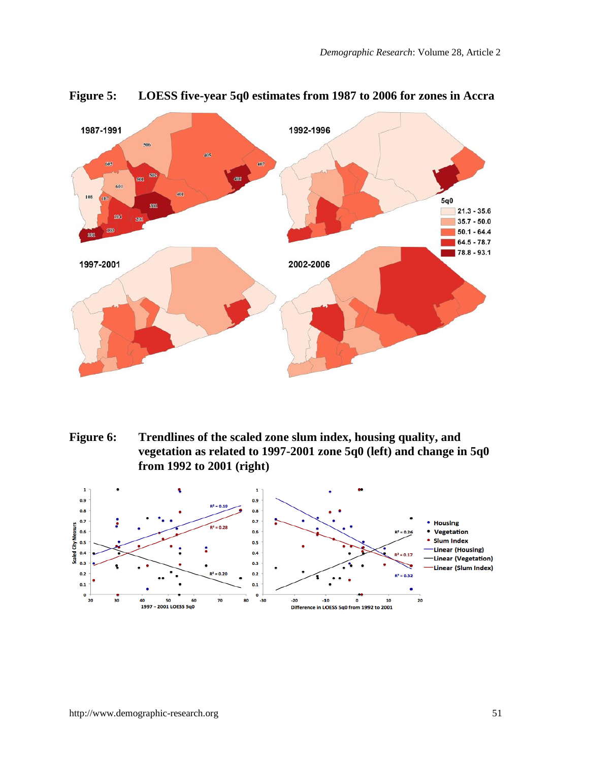

**Figure 5: LOESS five-year 5q0 estimates from 1987 to 2006 for zones in Accra**

**Figure 6: Trendlines of the scaled zone slum index, housing quality, and vegetation as related to 1997-2001 zone 5q0 (left) and change in 5q0 from 1992 to 2001 (right)**

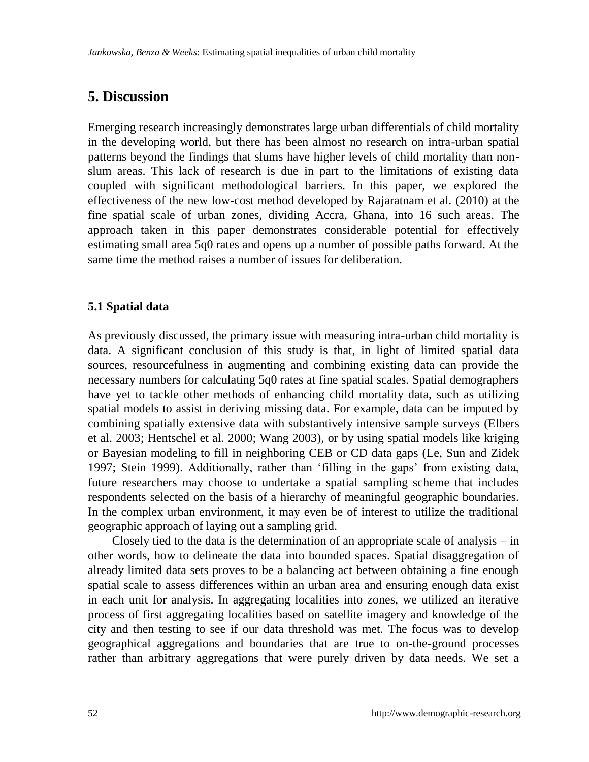## **5. Discussion**

Emerging research increasingly demonstrates large urban differentials of child mortality in the developing world, but there has been almost no research on intra-urban spatial patterns beyond the findings that slums have higher levels of child mortality than nonslum areas. This lack of research is due in part to the limitations of existing data coupled with significant methodological barriers. In this paper, we explored the effectiveness of the new low-cost method developed by Rajaratnam et al. [\(2010\)](#page-28-3) at the fine spatial scale of urban zones, dividing Accra, Ghana, into 16 such areas. The approach taken in this paper demonstrates considerable potential for effectively estimating small area 5q0 rates and opens up a number of possible paths forward. At the same time the method raises a number of issues for deliberation.

### **5.1 Spatial data**

As previously discussed, the primary issue with measuring intra-urban child mortality is data. A significant conclusion of this study is that, in light of limited spatial data sources, resourcefulness in augmenting and combining existing data can provide the necessary numbers for calculating 5q0 rates at fine spatial scales. Spatial demographers have yet to tackle other methods of enhancing child mortality data, such as utilizing spatial models to assist in deriving missing data. For example, data can be imputed by combining spatially extensive data with substantively intensive sample surveys [\(Elbers](#page-26-10)  [et al. 2003;](#page-26-10) [Hentschel et al. 2000;](#page-27-11) [Wang 2003\)](#page-30-6), or by using spatial models like kriging or Bayesian modeling to fill in neighboring CEB or CD data gaps [\(Le, Sun and Zidek](#page-28-9)  [1997;](#page-28-9) [Stein 1999\)](#page-29-10). Additionally, rather than ‗filling in the gaps' from existing data, future researchers may choose to undertake a spatial sampling scheme that includes respondents selected on the basis of a hierarchy of meaningful geographic boundaries. In the complex urban environment, it may even be of interest to utilize the traditional geographic approach of laying out a sampling grid.

Closely tied to the data is the determination of an appropriate scale of analysis – in other words, how to delineate the data into bounded spaces. Spatial disaggregation of already limited data sets proves to be a balancing act between obtaining a fine enough spatial scale to assess differences within an urban area and ensuring enough data exist in each unit for analysis. In aggregating localities into zones, we utilized an iterative process of first aggregating localities based on satellite imagery and knowledge of the city and then testing to see if our data threshold was met. The focus was to develop geographical aggregations and boundaries that are true to on-the-ground processes rather than arbitrary aggregations that were purely driven by data needs. We set a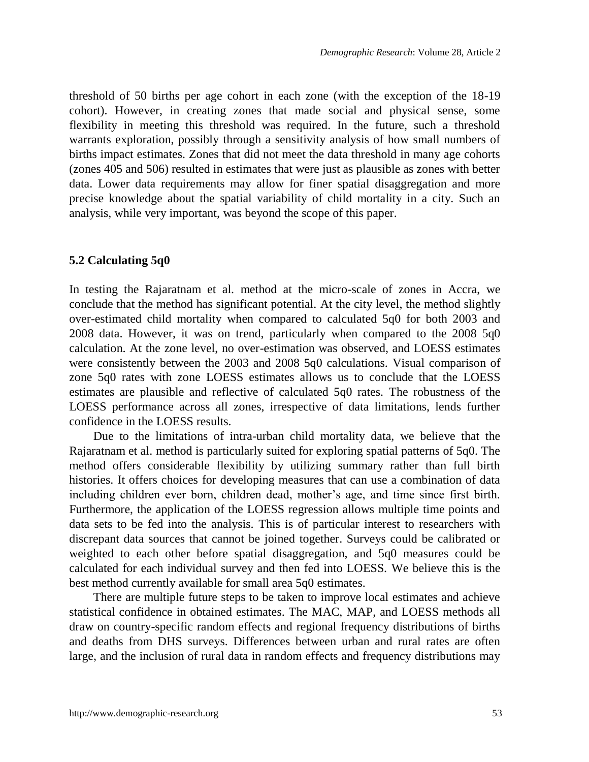threshold of 50 births per age cohort in each zone (with the exception of the 18-19 cohort). However, in creating zones that made social and physical sense, some flexibility in meeting this threshold was required. In the future, such a threshold warrants exploration, possibly through a sensitivity analysis of how small numbers of births impact estimates. Zones that did not meet the data threshold in many age cohorts (zones 405 and 506) resulted in estimates that were just as plausible as zones with better data. Lower data requirements may allow for finer spatial disaggregation and more precise knowledge about the spatial variability of child mortality in a city. Such an analysis, while very important, was beyond the scope of this paper.

#### **5.2 Calculating 5q0**

In testing the Rajaratnam et al. method at the micro-scale of zones in Accra, we conclude that the method has significant potential. At the city level, the method slightly over-estimated child mortality when compared to calculated 5q0 for both 2003 and 2008 data. However, it was on trend, particularly when compared to the 2008 5q0 calculation. At the zone level, no over-estimation was observed, and LOESS estimates were consistently between the 2003 and 2008 5q0 calculations. Visual comparison of zone 5q0 rates with zone LOESS estimates allows us to conclude that the LOESS estimates are plausible and reflective of calculated 5q0 rates. The robustness of the LOESS performance across all zones, irrespective of data limitations, lends further confidence in the LOESS results.

Due to the limitations of intra-urban child mortality data, we believe that the Rajaratnam et al. method is particularly suited for exploring spatial patterns of 5q0. The method offers considerable flexibility by utilizing summary rather than full birth histories. It offers choices for developing measures that can use a combination of data including children ever born, children dead, mother's age, and time since first birth. Furthermore, the application of the LOESS regression allows multiple time points and data sets to be fed into the analysis. This is of particular interest to researchers with discrepant data sources that cannot be joined together. Surveys could be calibrated or weighted to each other before spatial disaggregation, and 5q0 measures could be calculated for each individual survey and then fed into LOESS. We believe this is the best method currently available for small area 5q0 estimates.

There are multiple future steps to be taken to improve local estimates and achieve statistical confidence in obtained estimates. The MAC, MAP, and LOESS methods all draw on country-specific random effects and regional frequency distributions of births and deaths from DHS surveys. Differences between urban and rural rates are often large, and the inclusion of rural data in random effects and frequency distributions may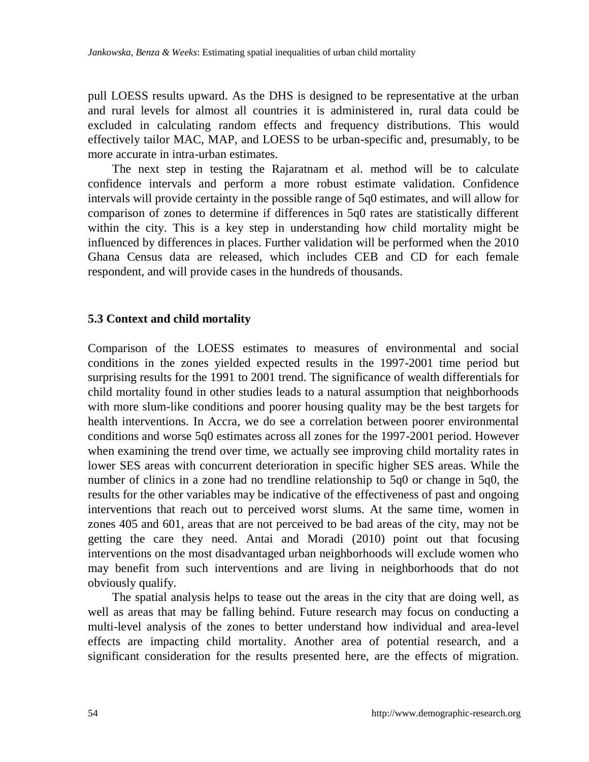pull LOESS results upward. As the DHS is designed to be representative at the urban and rural levels for almost all countries it is administered in, rural data could be excluded in calculating random effects and frequency distributions. This would effectively tailor MAC, MAP, and LOESS to be urban-specific and, presumably, to be more accurate in intra-urban estimates.

The next step in testing the Rajaratnam et al. method will be to calculate confidence intervals and perform a more robust estimate validation. Confidence intervals will provide certainty in the possible range of 5q0 estimates, and will allow for comparison of zones to determine if differences in 5q0 rates are statistically different within the city. This is a key step in understanding how child mortality might be influenced by differences in places. Further validation will be performed when the 2010 Ghana Census data are released, which includes CEB and CD for each female respondent, and will provide cases in the hundreds of thousands.

### **5.3 Context and child mortality**

Comparison of the LOESS estimates to measures of environmental and social conditions in the zones yielded expected results in the 1997-2001 time period but surprising results for the 1991 to 2001 trend. The significance of wealth differentials for child mortality found in other studies leads to a natural assumption that neighborhoods with more slum-like conditions and poorer housing quality may be the best targets for health interventions. In Accra, we do see a correlation between poorer environmental conditions and worse 5q0 estimates across all zones for the 1997-2001 period. However when examining the trend over time, we actually see improving child mortality rates in lower SES areas with concurrent deterioration in specific higher SES areas. While the number of clinics in a zone had no trendline relationship to 5q0 or change in 5q0, the results for the other variables may be indicative of the effectiveness of past and ongoing interventions that reach out to perceived worst slums. At the same time, women in zones 405 and 601, areas that are not perceived to be bad areas of the city, may not be getting the care they need. Antai and Moradi [\(2010\)](#page-26-6) point out that focusing interventions on the most disadvantaged urban neighborhoods will exclude women who may benefit from such interventions and are living in neighborhoods that do not obviously qualify.

The spatial analysis helps to tease out the areas in the city that are doing well, as well as areas that may be falling behind. Future research may focus on conducting a multi-level analysis of the zones to better understand how individual and area-level effects are impacting child mortality. Another area of potential research, and a significant consideration for the results presented here, are the effects of migration.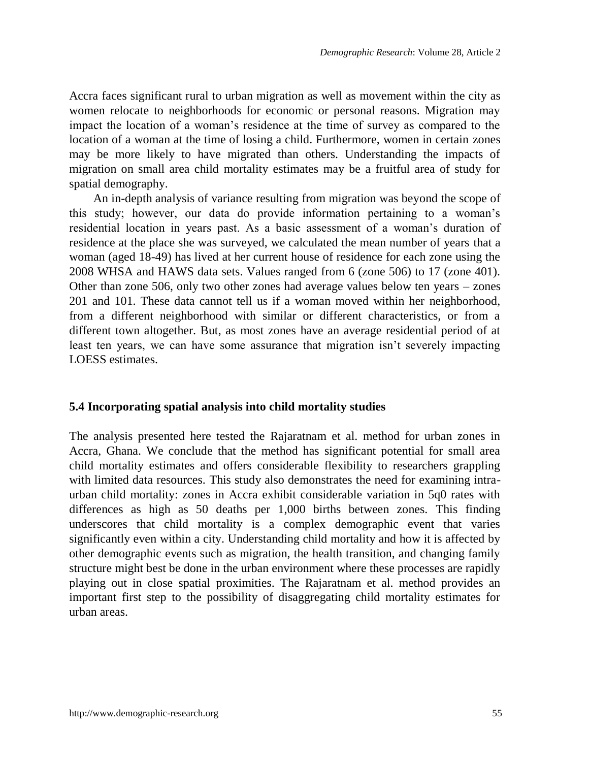Accra faces significant rural to urban migration as well as movement within the city as women relocate to neighborhoods for economic or personal reasons. Migration may impact the location of a woman's residence at the time of survey as compared to the location of a woman at the time of losing a child. Furthermore, women in certain zones may be more likely to have migrated than others. Understanding the impacts of migration on small area child mortality estimates may be a fruitful area of study for spatial demography.

An in-depth analysis of variance resulting from migration was beyond the scope of this study; however, our data do provide information pertaining to a woman's residential location in years past. As a basic assessment of a woman's duration of residence at the place she was surveyed, we calculated the mean number of years that a woman (aged 18-49) has lived at her current house of residence for each zone using the 2008 WHSA and HAWS data sets. Values ranged from 6 (zone 506) to 17 (zone 401). Other than zone 506, only two other zones had average values below ten years – zones 201 and 101. These data cannot tell us if a woman moved within her neighborhood, from a different neighborhood with similar or different characteristics, or from a different town altogether. But, as most zones have an average residential period of at least ten years, we can have some assurance that migration isn't severely impacting LOESS estimates.

#### **5.4 Incorporating spatial analysis into child mortality studies**

The analysis presented here tested the Rajaratnam et al. method for urban zones in Accra, Ghana. We conclude that the method has significant potential for small area child mortality estimates and offers considerable flexibility to researchers grappling with limited data resources. This study also demonstrates the need for examining intraurban child mortality: zones in Accra exhibit considerable variation in 5q0 rates with differences as high as 50 deaths per 1,000 births between zones. This finding underscores that child mortality is a complex demographic event that varies significantly even within a city. Understanding child mortality and how it is affected by other demographic events such as migration, the health transition, and changing family structure might best be done in the urban environment where these processes are rapidly playing out in close spatial proximities. The Rajaratnam et al. method provides an important first step to the possibility of disaggregating child mortality estimates for urban areas.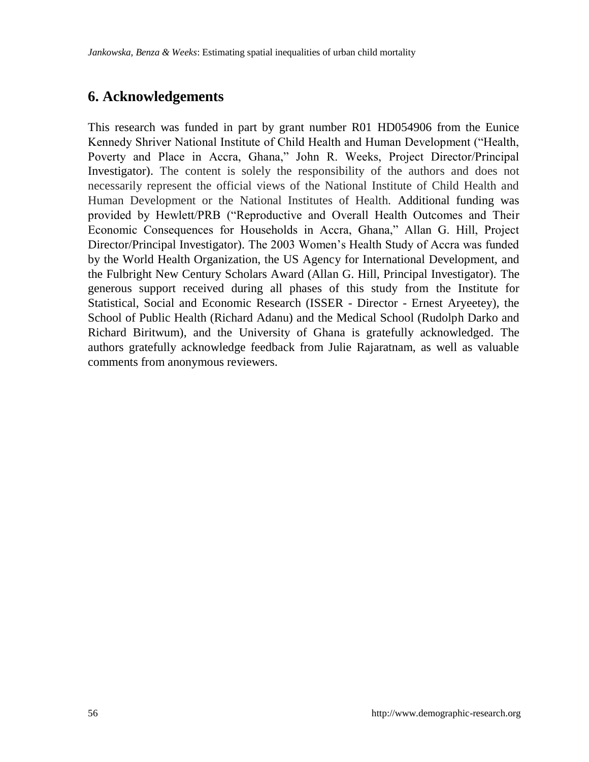## **6. Acknowledgements**

This research was funded in part by grant number R01 HD054906 from the Eunice Kennedy Shriver National Institute of Child Health and Human Development ("Health, Poverty and Place in Accra, Ghana," John R. Weeks, Project Director/Principal Investigator). The content is solely the responsibility of the authors and does not necessarily represent the official views of the National Institute of Child Health and Human Development or the National Institutes of Health. Additional funding was provided by Hewlett/PRB ("Reproductive and Overall Health Outcomes and Their Economic Consequences for Households in Accra, Ghana," Allan G. Hill, Project Director/Principal Investigator). The 2003 Women's Health Study of Accra was funded by the World Health Organization, the US Agency for International Development, and the Fulbright New Century Scholars Award (Allan G. Hill, Principal Investigator). The generous support received during all phases of this study from the Institute for Statistical, Social and Economic Research (ISSER - Director - Ernest Aryeetey), the School of Public Health (Richard Adanu) and the Medical School (Rudolph Darko and Richard Biritwum), and the University of Ghana is gratefully acknowledged. The authors gratefully acknowledge feedback from Julie Rajaratnam, as well as valuable comments from anonymous reviewers.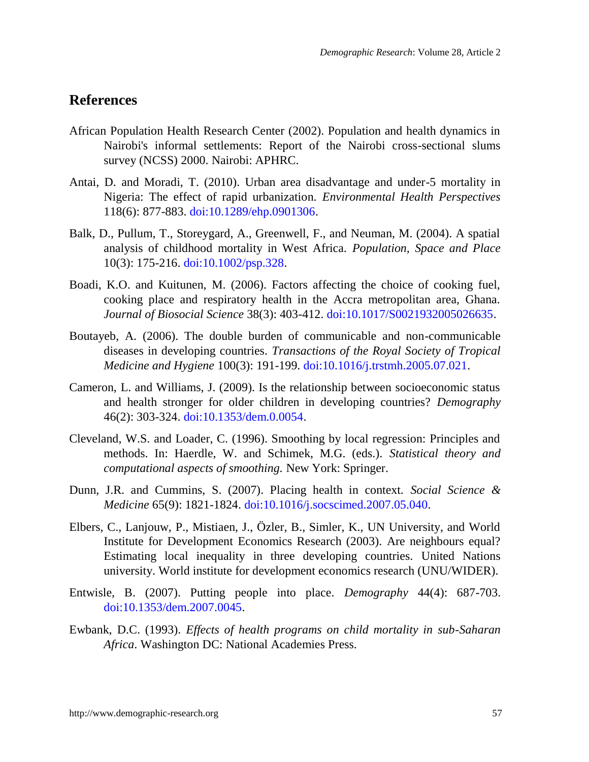## **References**

- <span id="page-26-3"></span>African Population Health Research Center (2002). Population and health dynamics in Nairobi's informal settlements: Report of the Nairobi cross-sectional slums survey (NCSS) 2000. Nairobi: APHRC.
- <span id="page-26-6"></span>Antai, D. and Moradi, T. (2010). Urban area disadvantage and under-5 mortality in Nigeria: The effect of rapid urbanization. *Environmental Health Perspectives* 118(6): 877-883. doi[:10.1289/ehp.0901306.](http://dx.doi.org/10.1289%2Fehp.0901306)
- <span id="page-26-0"></span>Balk, D., Pullum, T., Storeygard, A., Greenwell, F., and Neuman, M. (2004). A spatial analysis of childhood mortality in West Africa. *Population, Space and Place* 10(3): 175-216. doi[:10.1002/psp.328.](http://dx.doi.org/10.1002/psp.328)
- <span id="page-26-7"></span>Boadi, K.O. and Kuitunen, M. (2006). Factors affecting the choice of cooking fuel, cooking place and respiratory health in the Accra metropolitan area, Ghana. *Journal of Biosocial Science* 38(3): 403-412. doi[:10.1017/S0021932005026635.](http://dx.doi.org/10.1017%2FS0021932005026635)
- <span id="page-26-2"></span>Boutayeb, A. (2006). The double burden of communicable and non-communicable diseases in developing countries. *Transactions of the Royal Society of Tropical Medicine and Hygiene* 100(3): 191-199. doi[:10.1016/j.trstmh.2005.07.021.](http://dx.doi.org/10.1016%2Fj.trstmh.2005.07.021)
- <span id="page-26-8"></span>Cameron, L. and Williams, J. (2009). Is the relationship between socioeconomic status and health stronger for older children in developing countries? *Demography* 46(2): 303-324. doi[:10.1353/dem.0.0054.](http://dx.doi.org/10.1353%2Fdem.0.0054)
- <span id="page-26-9"></span>Cleveland, W.S. and Loader, C. (1996). Smoothing by local regression: Principles and methods. In: Haerdle, W. and Schimek, M.G. (eds.). *Statistical theory and computational aspects of smoothing.* New York: Springer.
- <span id="page-26-4"></span>Dunn, J.R. and Cummins, S. (2007). Placing health in context. *Social Science & Medicine* 65(9): 1821-1824. doi:10.1016/j.socscimed.2007.05.040.
- <span id="page-26-10"></span>Elbers, C., Lanjouw, P., Mistiaen, J., Özler, B., Simler, K., UN University, and World Institute for Development Economics Research (2003). Are neighbours equal? Estimating local inequality in three developing countries. United Nations university. World institute for development economics research (UNU/WIDER).
- <span id="page-26-5"></span>Entwisle, B. (2007). Putting people into place. *Demography* 44(4): 687-703. doi[:10.1353/dem.2007.0045.](http://dx.doi.org/10.1353%2Fdem.2007.0045)
- <span id="page-26-1"></span>Ewbank, D.C. (1993). *Effects of health programs on child mortality in sub-Saharan Africa*. Washington DC: National Academies Press.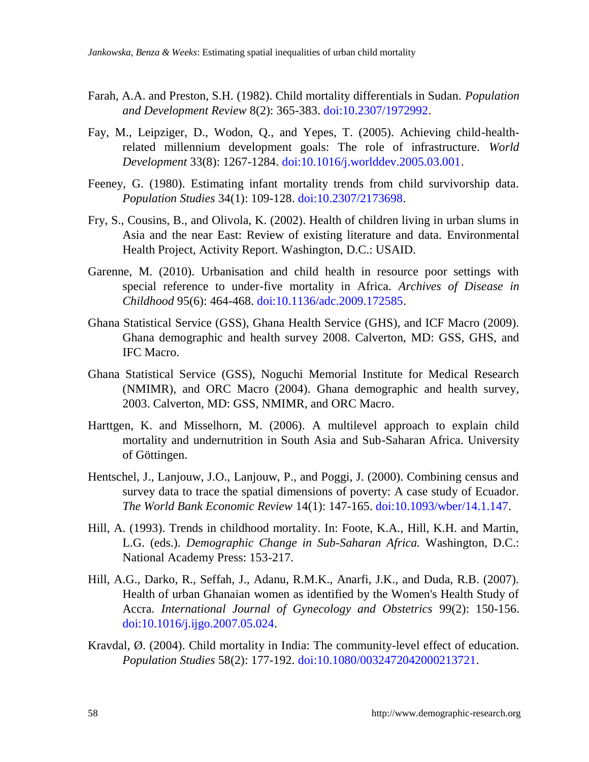- <span id="page-27-0"></span>Farah, A.A. and Preston, S.H. (1982). Child mortality differentials in Sudan. *Population and Development Review* 8(2): 365-383. doi:10.2307/1972992.
- <span id="page-27-6"></span>Fay, M., Leipziger, D., Wodon, Q., and Yepes, T. (2005). Achieving child-healthrelated millennium development goals: The role of infrastructure. *World Development* 33(8): 1267-1284. doi:10.1016/j.worlddev.2005.03.001.
- <span id="page-27-10"></span>Feeney, G. (1980). Estimating infant mortality trends from child survivorship data. *Population Studies* 34(1): 109-128. [doi:10.2307/2173698.](http://dx.doi.org/10.2307%2F2173698)
- <span id="page-27-5"></span>Fry, S., Cousins, B., and Olivola, K. (2002). Health of children living in urban slums in Asia and the near East: Review of existing literature and data. Environmental Health Project, Activity Report. Washington, D.C.: USAID.
- <span id="page-27-4"></span>Garenne, M. (2010). Urbanisation and child health in resource poor settings with special reference to under-five mortality in Africa. *Archives of Disease in Childhood* 95(6): 464-468. doi[:10.1136/adc.2009.172585.](http://dx.doi.org/10.1136%2Fadc.2009.172585)
- <span id="page-27-3"></span>Ghana Statistical Service (GSS), Ghana Health Service (GHS), and ICF Macro (2009). Ghana demographic and health survey 2008. Calverton, MD: GSS, GHS, and IFC Macro.
- <span id="page-27-2"></span>Ghana Statistical Service (GSS), Noguchi Memorial Institute for Medical Research (NMIMR), and ORC Macro (2004). Ghana demographic and health survey, 2003. Calverton, MD: GSS, NMIMR, and ORC Macro.
- <span id="page-27-7"></span>Harttgen, K. and Misselhorn, M. (2006). A multilevel approach to explain child mortality and undernutrition in South Asia and Sub-Saharan Africa. University of Göttingen.
- <span id="page-27-11"></span>Hentschel, J., Lanjouw, J.O., Lanjouw, P., and Poggi, J. (2000). Combining census and survey data to trace the spatial dimensions of poverty: A case study of Ecuador. *The World Bank Economic Review* 14(1): 147-165. doi:10.1093/wber/14.1.147.
- <span id="page-27-1"></span>Hill, A. (1993). Trends in childhood mortality. In: Foote, K.A., Hill, K.H. and Martin, L.G. (eds.). *Demographic Change in Sub-Saharan Africa.* Washington, D.C.: National Academy Press: 153-217.
- <span id="page-27-9"></span>Hill, A.G., Darko, R., Seffah, J., Adanu, R.M.K., Anarfi, J.K., and Duda, R.B. (2007). Health of urban Ghanaian women as identified by the Women's Health Study of Accra. *International Journal of Gynecology and Obstetrics* 99(2): 150-156. doi[:10.1016/j.ijgo.2007.05.024.](http://dx.doi.org/10.1016%2Fj.ijgo.2007.05.024)
- <span id="page-27-8"></span>Kravdal, Ø. (2004). Child mortality in India: The community-level effect of education. *Population Studies* 58(2): 177-192. doi[:10.1080/0032472042000213721.](http://dx.doi.org/10.1080%2F0032472042000213721)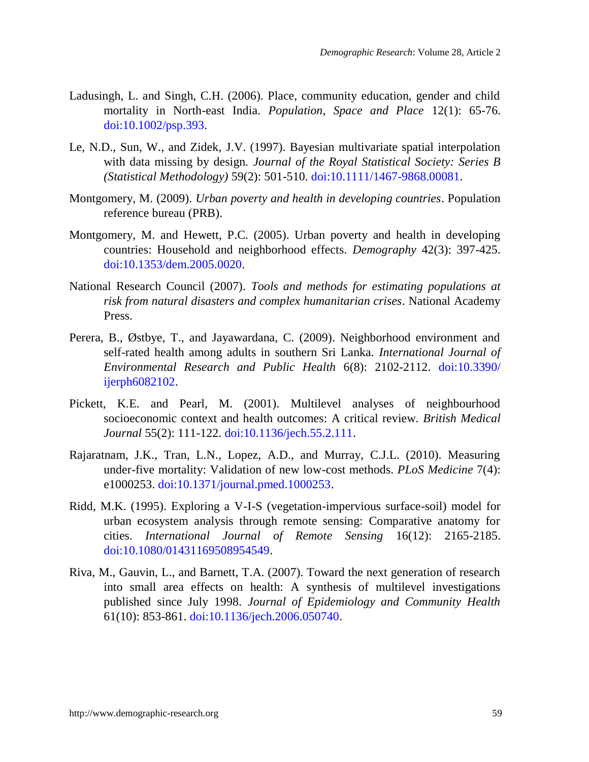- <span id="page-28-5"></span>Ladusingh, L. and Singh, C.H. (2006). Place, community education, gender and child mortality in North-east India. *Population, Space and Place* 12(1): 65-76. doi[:10.1002/psp.393.](http://dx.doi.org/10.1002/psp.393)
- <span id="page-28-9"></span>Le, N.D., Sun, W., and Zidek, J.V. (1997). Bayesian multivariate spatial interpolation with data missing by design. *Journal of the Royal Statistical Society: Series B (Statistical Methodology)* 59(2): 501-510[. doi:10.1111/1467-9868.00081.](http://dx.doi.org/10.1111%2F1467-9868.00081)
- <span id="page-28-6"></span>Montgomery, M. (2009). *Urban poverty and health in developing countries*. Population reference bureau (PRB).
- <span id="page-28-0"></span>Montgomery, M. and Hewett, P.C. (2005). Urban poverty and health in developing countries: Household and neighborhood effects. *Demography* 42(3): 397-425. [doi:10.1353/dem.2005.0020.](http://dx.doi.org/10.1353%2Fdem.2005.0020)
- <span id="page-28-7"></span>National Research Council (2007). *Tools and methods for estimating populations at risk from natural disasters and complex humanitarian crises*. National Academy Press.
- <span id="page-28-4"></span>Perera, B., Østbye, T., and Jayawardana, C. (2009). Neighborhood environment and self-rated health among adults in southern Sri Lanka. *International Journal of Environmental Research and Public Health* 6(8): 2102-2112. [doi:10.3390/](http://dx.doi.org/10.3390%2Fijerph6082102) [ijerph6082102.](http://dx.doi.org/10.3390%2Fijerph6082102)
- <span id="page-28-1"></span>Pickett, K.E. and Pearl, M. (2001). Multilevel analyses of neighbourhood socioeconomic context and health outcomes: A critical review. *British Medical Journal* 55(2): 111-122. [doi:10.1136/jech.55.2.111.](http://dx.doi.org/10.1136%2Fjech.55.2.111)
- <span id="page-28-3"></span>Rajaratnam, J.K., Tran, L.N., Lopez, A.D., and Murray, C.J.L. (2010). Measuring under-five mortality: Validation of new low-cost methods. *PLoS Medicine* 7(4): e1000253[. doi:10.1371/journal.pmed.1000253.](http://dx.doi.org/10.1371%2Fjournal.pmed.1000253)
- <span id="page-28-8"></span>Ridd, M.K. (1995). Exploring a V-I-S (vegetation-impervious surface-soil) model for urban ecosystem analysis through remote sensing: Comparative anatomy for cities. *International Journal of Remote Sensing* 16(12): 2165-2185. doi[:10.1080/01431169508954549.](http://dx.doi.org/10.1080/01431169508954549)
- <span id="page-28-2"></span>Riva, M., Gauvin, L., and Barnett, T.A. (2007). Toward the next generation of research into small area effects on health: A synthesis of multilevel investigations published since July 1998. *Journal of Epidemiology and Community Health* 61(10): 853-861. [doi:10.1136/jech.2006.050740.](http://dx.doi.org/10.1136%2Fjech.2006.050740)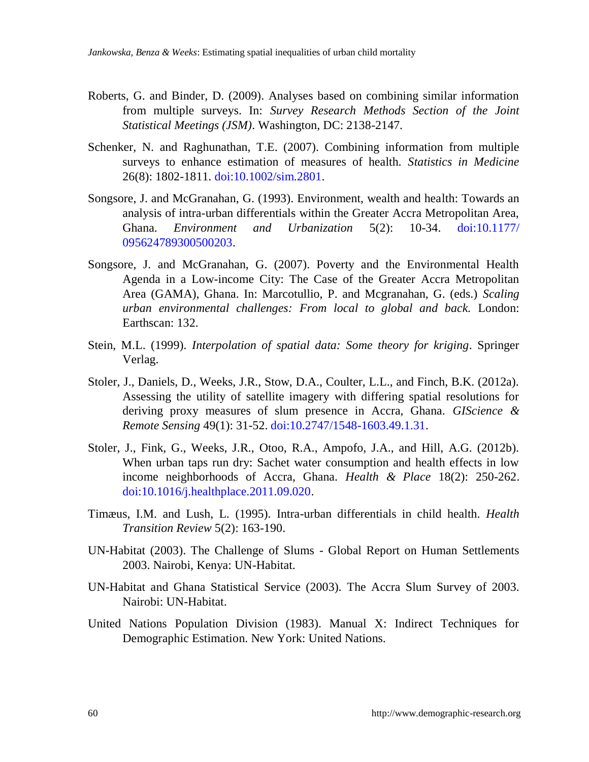- <span id="page-29-6"></span>Roberts, G. and Binder, D. (2009). Analyses based on combining similar information from multiple surveys. In: *Survey Research Methods Section of the Joint Statistical Meetings (JSM)*. Washington, DC: 2138-2147.
- <span id="page-29-5"></span>Schenker, N. and Raghunathan, T.E. (2007). Combining information from multiple surveys to enhance estimation of measures of health. *Statistics in Medicine* 26(8): 1802-1811[. doi:10.1002/sim.2801.](http://dx.doi.org/10.1002%2Fsim.2801)
- <span id="page-29-1"></span>Songsore, J. and McGranahan, G. (1993). Environment, wealth and health: Towards an analysis of intra-urban differentials within the Greater Accra Metropolitan Area, Ghana. *Environment and Urbanization* 5(2): 10-34. [doi:10.1177/](http://dx.doi.org/10.1177%2F095624789300500203) [095624789300500203.](http://dx.doi.org/10.1177%2F095624789300500203)
- <span id="page-29-2"></span>Songsore, J. and McGranahan, G. (2007). Poverty and the Environmental Health Agenda in a Low-income City: The Case of the Greater Accra Metropolitan Area (GAMA), Ghana. In: Marcotullio, P. and Mcgranahan, G. (eds.) *Scaling urban environmental challenges: From local to global and back.* London: Earthscan: 132.
- <span id="page-29-10"></span>Stein, M.L. (1999). *Interpolation of spatial data: Some theory for kriging*. Springer Verlag.
- <span id="page-29-9"></span>Stoler, J., Daniels, D., Weeks, J.R., Stow, D.A., Coulter, L.L., and Finch, B.K. (2012a). Assessing the utility of satellite imagery with differing spatial resolutions for deriving proxy measures of slum presence in Accra, Ghana. *GIScience & Remote Sensing* 49(1): 31-52. [doi:10.2747/1548-1603.49.1.31.](http://dx.doi.org/10.2747%2F1548-1603.49.1.31)
- <span id="page-29-3"></span>Stoler, J., Fink, G., Weeks, J.R., Otoo, R.A., Ampofo, J.A., and Hill, A.G. (2012b). When urban taps run dry: Sachet water consumption and health effects in low income neighborhoods of Accra, Ghana. *Health & Place* 18(2): 250-262. [doi:10.1016/j.healthplace.2011.09.020.](http://dx.doi.org/10.1016%2Fj.healthplace.2011.09.020)
- <span id="page-29-0"></span>Timæus, I.M. and Lush, L. (1995). Intra-urban differentials in child health. *Health Transition Review* 5(2): 163-190.
- <span id="page-29-8"></span>UN-Habitat (2003). The Challenge of Slums - Global Report on Human Settlements 2003. Nairobi, Kenya: UN-Habitat.
- <span id="page-29-7"></span>UN-Habitat and Ghana Statistical Service (2003). The Accra Slum Survey of 2003. Nairobi: UN-Habitat.
- <span id="page-29-4"></span>United Nations Population Division (1983). Manual X: Indirect Techniques for Demographic Estimation. New York: United Nations.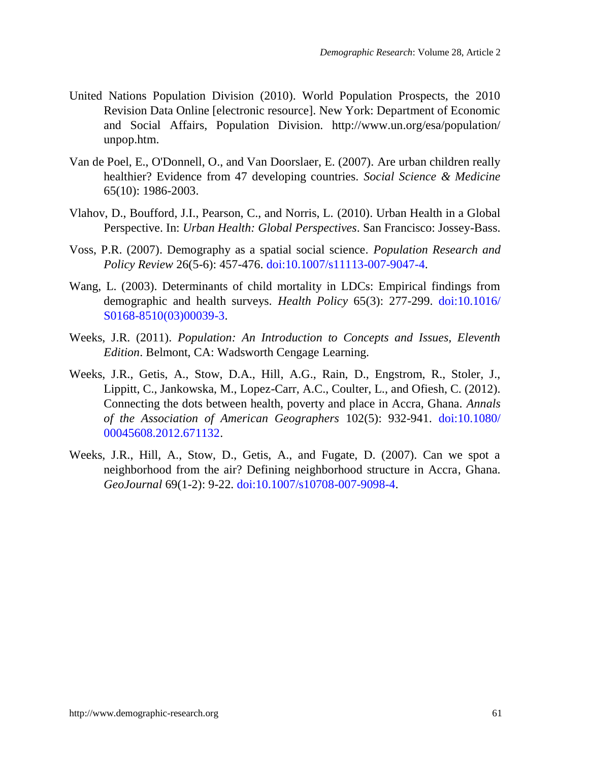- <span id="page-30-3"></span>United Nations Population Division (2010). World Population Prospects, the 2010 Revision Data Online [electronic resource]. New York: Department of Economic and Social Affairs, Population Division. http://www.un.org/esa/population/ unpop.htm.
- <span id="page-30-2"></span>Van de Poel, E., O'Donnell, O., and Van Doorslaer, E. (2007). Are urban children really healthier? Evidence from 47 developing countries. *Social Science & Medicine* 65(10): 1986-2003.
- <span id="page-30-0"></span>Vlahov, D., Boufford, J.I., Pearson, C., and Norris, L. (2010). Urban Health in a Global Perspective. In: *Urban Health: Global Perspectives*. San Francisco: Jossey-Bass.
- <span id="page-30-1"></span>Voss, P.R. (2007). Demography as a spatial social science. *Population Research and Policy Review* 26(5-6): 457-476. [doi:10.1007/s11113-007-9047-4.](http://dx.doi.org/10.1007%2Fs11113-007-9047-4)
- <span id="page-30-6"></span>Wang, L. (2003). Determinants of child mortality in LDCs: Empirical findings from demographic and health surveys. *Health Policy* 65(3): 277-299. [doi:10.1016/](http://dx.doi.org/10.1016%2FS0168-8510%2803%2900039-3) [S0168-8510\(03\)00039-3.](http://dx.doi.org/10.1016%2FS0168-8510%2803%2900039-3)
- <span id="page-30-5"></span>Weeks, J.R. (2011). *Population: An Introduction to Concepts and Issues, Eleventh Edition*. Belmont, CA: Wadsworth Cengage Learning.
- <span id="page-30-4"></span>Weeks, J.R., Getis, A., Stow, D.A., Hill, A.G., Rain, D., Engstrom, R., Stoler, J., Lippitt, C., Jankowska, M., Lopez-Carr, A.C., Coulter, L., and Ofiesh, C. (2012). Connecting the dots between health, poverty and place in Accra, Ghana. *Annals of the Association of American Geographers* 102(5): 932-941. [doi:10.1080/](http://dx.doi.org/10.1080%2F00045608.2012.671132) [00045608.2012.671132.](http://dx.doi.org/10.1080%2F00045608.2012.671132)
- Weeks, J.R., Hill, A., Stow, D., Getis, A., and Fugate, D. (2007). Can we spot a neighborhood from the air? Defining neighborhood structure in Accra, Ghana. *GeoJournal* 69(1-2): 9-22. [doi:10.1007/s10708-007-9098-4.](http://dx.doi.org/10.1007%2Fs10708-007-9098-4)